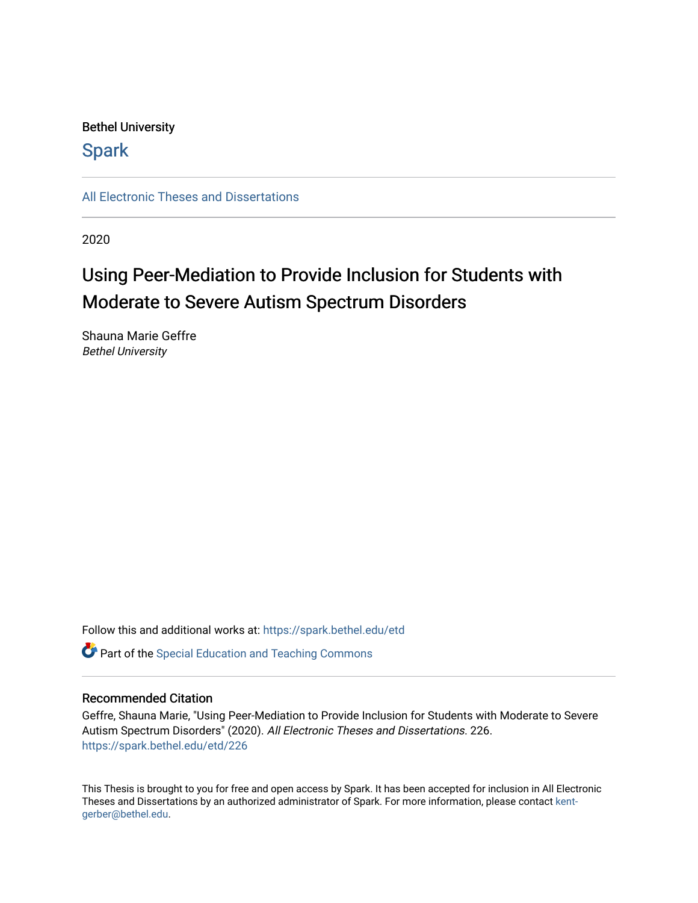## Bethel University

# **Spark**

[All Electronic Theses and Dissertations](https://spark.bethel.edu/etd) 

2020

# Using Peer-Mediation to Provide Inclusion for Students with Moderate to Severe Autism Spectrum Disorders

Shauna Marie Geffre Bethel University

Follow this and additional works at: [https://spark.bethel.edu/etd](https://spark.bethel.edu/etd?utm_source=spark.bethel.edu%2Fetd%2F226&utm_medium=PDF&utm_campaign=PDFCoverPages)

**C** Part of the Special Education and Teaching Commons

### Recommended Citation

Geffre, Shauna Marie, "Using Peer-Mediation to Provide Inclusion for Students with Moderate to Severe Autism Spectrum Disorders" (2020). All Electronic Theses and Dissertations. 226. [https://spark.bethel.edu/etd/226](https://spark.bethel.edu/etd/226?utm_source=spark.bethel.edu%2Fetd%2F226&utm_medium=PDF&utm_campaign=PDFCoverPages)

This Thesis is brought to you for free and open access by Spark. It has been accepted for inclusion in All Electronic Theses and Dissertations by an authorized administrator of Spark. For more information, please contact [kent](mailto:kent-gerber@bethel.edu)[gerber@bethel.edu.](mailto:kent-gerber@bethel.edu)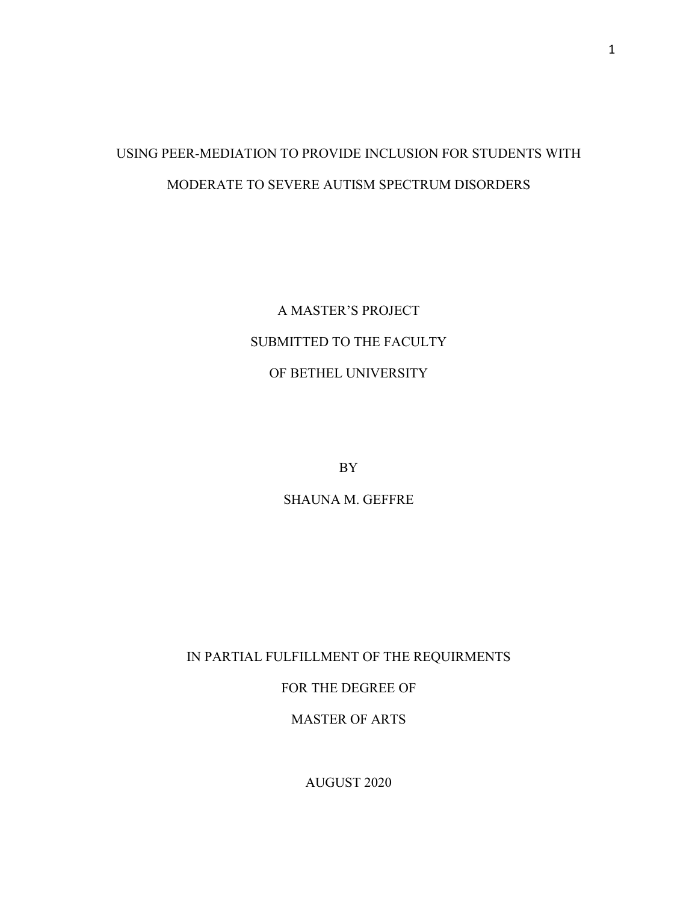# USING PEER-MEDIATION TO PROVIDE INCLUSION FOR STUDENTS WITH MODERATE TO SEVERE AUTISM SPECTRUM DISORDERS

A MASTER'S PROJECT SUBMITTED TO THE FACULTY OF BETHEL UNIVERSITY

BY

SHAUNA M. GEFFRE

IN PARTIAL FULFILLMENT OF THE REQUIRMENTS

FOR THE DEGREE OF

MASTER OF ARTS

AUGUST 2020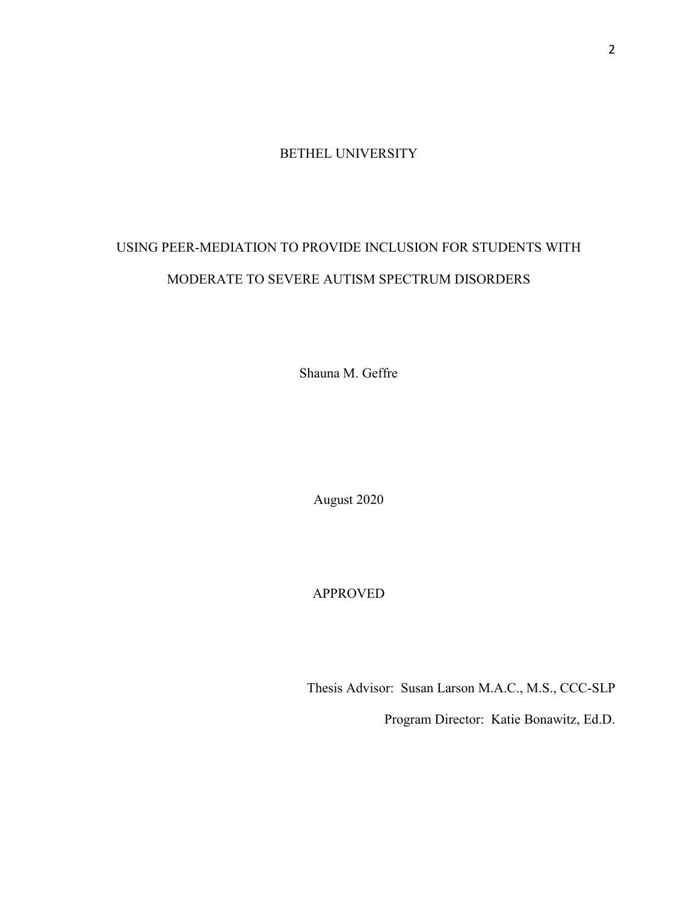BETHEL UNIVERSITY

# USING PEER-MEDIATION TO PROVIDE INCLUSION FOR STUDENTS WITH MODERATE TO SEVERE AUTISM SPECTRUM DISORDERS

Shauna M. Geffre

August 2020

APPROVED

Thesis Advisor: Susan Larson M.A.C., M.S., CCC-SLP

Program Director: Katie Bonawitz, Ed.D.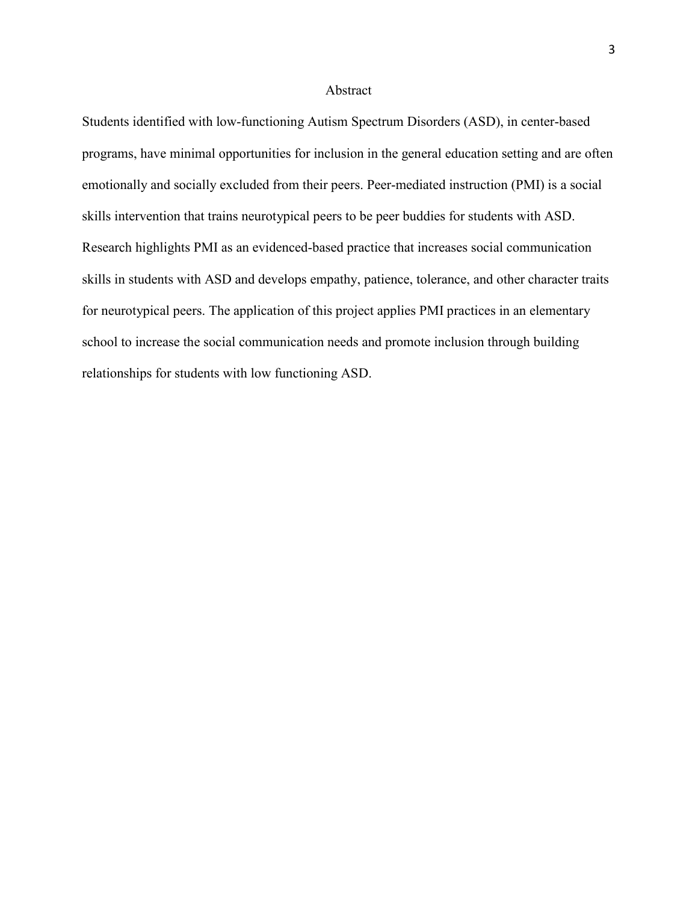#### Abstract

Students identified with low-functioning Autism Spectrum Disorders (ASD), in center-based programs, have minimal opportunities for inclusion in the general education setting and are often emotionally and socially excluded from their peers. Peer-mediated instruction (PMI) is a social skills intervention that trains neurotypical peers to be peer buddies for students with ASD. Research highlights PMI as an evidenced-based practice that increases social communication skills in students with ASD and develops empathy, patience, tolerance, and other character traits for neurotypical peers. The application of this project applies PMI practices in an elementary school to increase the social communication needs and promote inclusion through building relationships for students with low functioning ASD.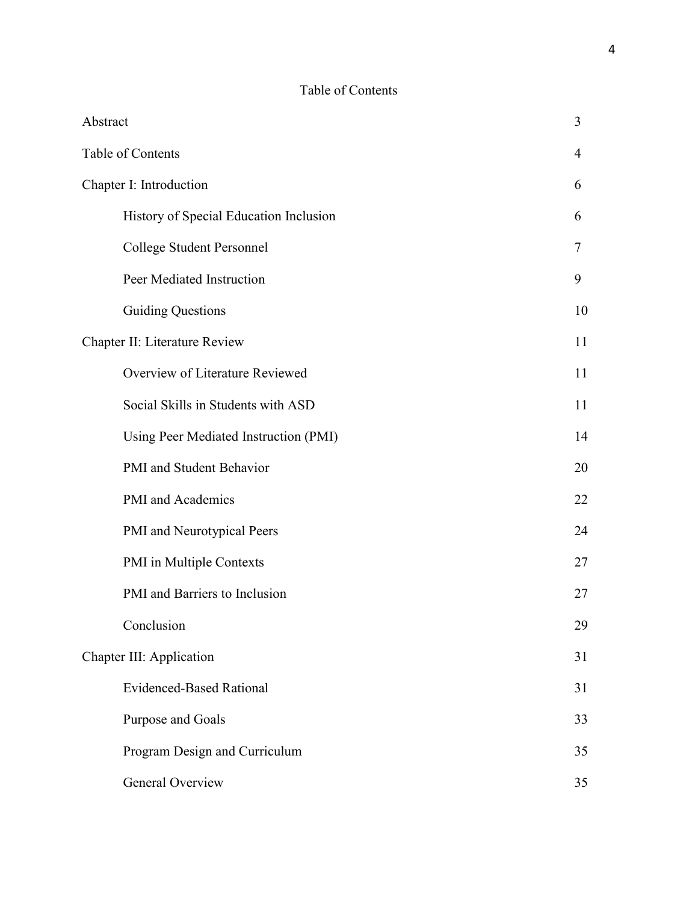# Table of Contents

| Abstract |                                        | 3  |
|----------|----------------------------------------|----|
|          | Table of Contents                      | 4  |
|          | Chapter I: Introduction                |    |
|          | History of Special Education Inclusion | 6  |
|          | College Student Personnel              | 7  |
|          | Peer Mediated Instruction              | 9  |
|          | <b>Guiding Questions</b>               | 10 |
|          | Chapter II: Literature Review          | 11 |
|          | Overview of Literature Reviewed        | 11 |
|          | Social Skills in Students with ASD     | 11 |
|          | Using Peer Mediated Instruction (PMI)  | 14 |
|          | PMI and Student Behavior               | 20 |
|          | PMI and Academics                      | 22 |
|          | PMI and Neurotypical Peers             | 24 |
|          | PMI in Multiple Contexts               | 27 |
|          | PMI and Barriers to Inclusion          | 27 |
|          | Conclusion                             | 29 |
|          | Chapter III: Application               | 31 |
|          | <b>Evidenced-Based Rational</b>        | 31 |
|          | Purpose and Goals                      | 33 |
|          | Program Design and Curriculum          | 35 |
|          | General Overview                       | 35 |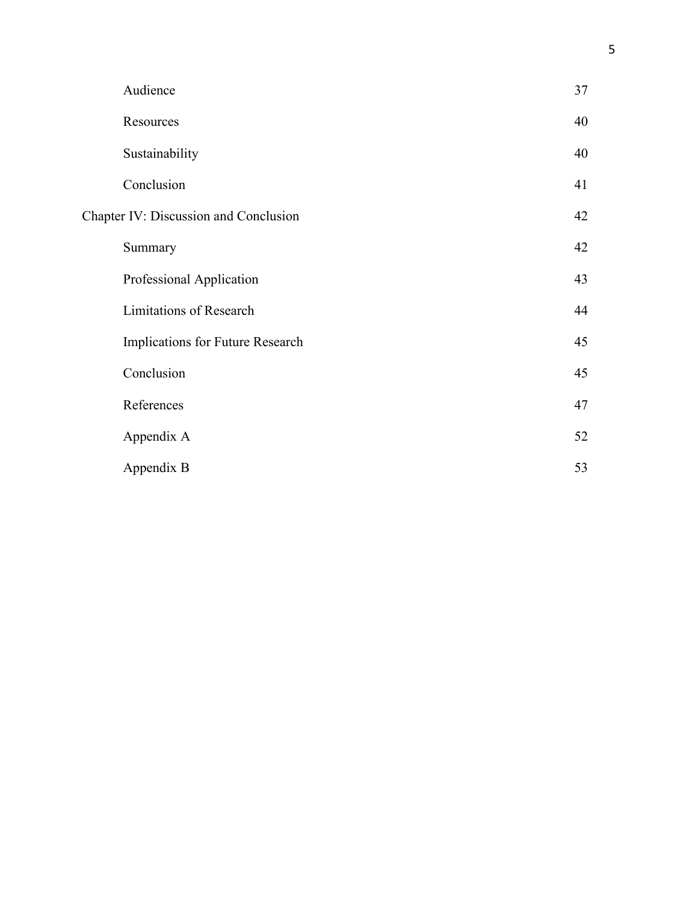| Audience                                     | 37 |
|----------------------------------------------|----|
| Resources                                    | 40 |
| Sustainability                               | 40 |
| Conclusion                                   | 41 |
| <b>Chapter IV: Discussion and Conclusion</b> | 42 |
| Summary                                      | 42 |
| Professional Application                     | 43 |
| <b>Limitations of Research</b>               | 44 |
| Implications for Future Research             | 45 |
| Conclusion                                   | 45 |
| References                                   | 47 |
| Appendix A                                   | 52 |
| Appendix B                                   | 53 |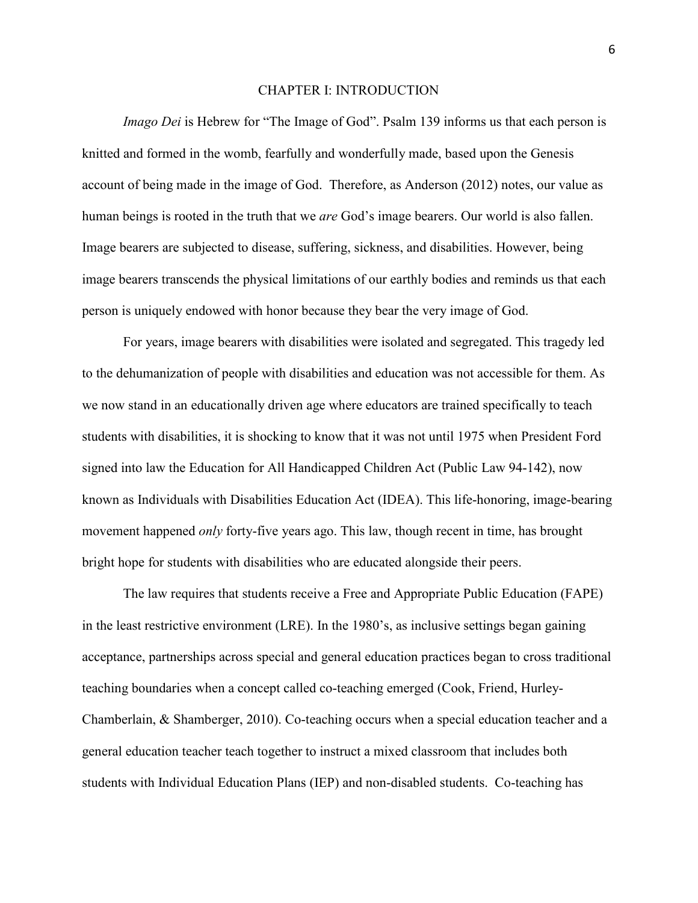#### CHAPTER I: INTRODUCTION

*Imago Dei* is Hebrew for "The Image of God". Psalm 139 informs us that each person is knitted and formed in the womb, fearfully and wonderfully made, based upon the Genesis account of being made in the image of God. Therefore, as Anderson (2012) notes, our value as human beings is rooted in the truth that we *are* God's image bearers. Our world is also fallen. Image bearers are subjected to disease, suffering, sickness, and disabilities. However, being image bearers transcends the physical limitations of our earthly bodies and reminds us that each person is uniquely endowed with honor because they bear the very image of God.

For years, image bearers with disabilities were isolated and segregated. This tragedy led to the dehumanization of people with disabilities and education was not accessible for them. As we now stand in an educationally driven age where educators are trained specifically to teach students with disabilities, it is shocking to know that it was not until 1975 when President Ford signed into law the Education for All Handicapped Children Act (Public Law 94-142), now known as Individuals with Disabilities Education Act (IDEA). This life-honoring, image-bearing movement happened *only* forty-five years ago. This law, though recent in time, has brought bright hope for students with disabilities who are educated alongside their peers.

The law requires that students receive a Free and Appropriate Public Education (FAPE) in the least restrictive environment (LRE). In the 1980's, as inclusive settings began gaining acceptance, partnerships across special and general education practices began to cross traditional teaching boundaries when a concept called co-teaching emerged (Cook, Friend, Hurley-Chamberlain, & Shamberger, 2010). Co-teaching occurs when a special education teacher and a general education teacher teach together to instruct a mixed classroom that includes both students with Individual Education Plans (IEP) and non-disabled students. Co-teaching has

6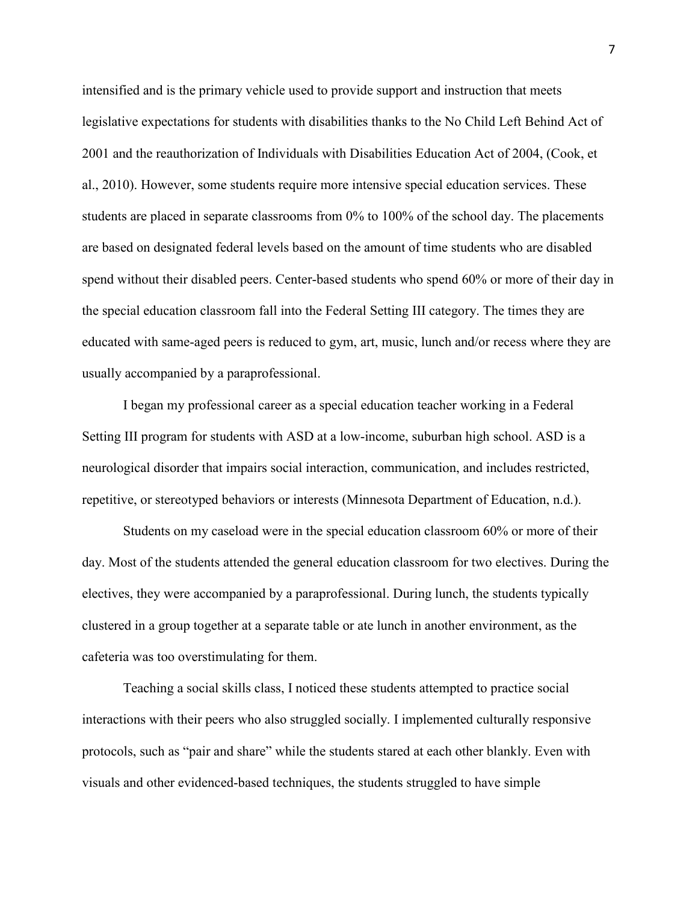intensified and is the primary vehicle used to provide support and instruction that meets legislative expectations for students with disabilities thanks to the No Child Left Behind Act of 2001 and the reauthorization of Individuals with Disabilities Education Act of 2004, (Cook, et al., 2010). However, some students require more intensive special education services. These students are placed in separate classrooms from 0% to 100% of the school day. The placements are based on designated federal levels based on the amount of time students who are disabled spend without their disabled peers. Center-based students who spend 60% or more of their day in the special education classroom fall into the Federal Setting III category. The times they are educated with same-aged peers is reduced to gym, art, music, lunch and/or recess where they are usually accompanied by a paraprofessional.

I began my professional career as a special education teacher working in a Federal Setting III program for students with ASD at a low-income, suburban high school. ASD is a neurological disorder that impairs social interaction, communication, and includes restricted, repetitive, or stereotyped behaviors or interests (Minnesota Department of Education, n.d.).

 Students on my caseload were in the special education classroom 60% or more of their day. Most of the students attended the general education classroom for two electives. During the electives, they were accompanied by a paraprofessional. During lunch, the students typically clustered in a group together at a separate table or ate lunch in another environment, as the cafeteria was too overstimulating for them.

Teaching a social skills class, I noticed these students attempted to practice social interactions with their peers who also struggled socially. I implemented culturally responsive protocols, such as "pair and share" while the students stared at each other blankly. Even with visuals and other evidenced-based techniques, the students struggled to have simple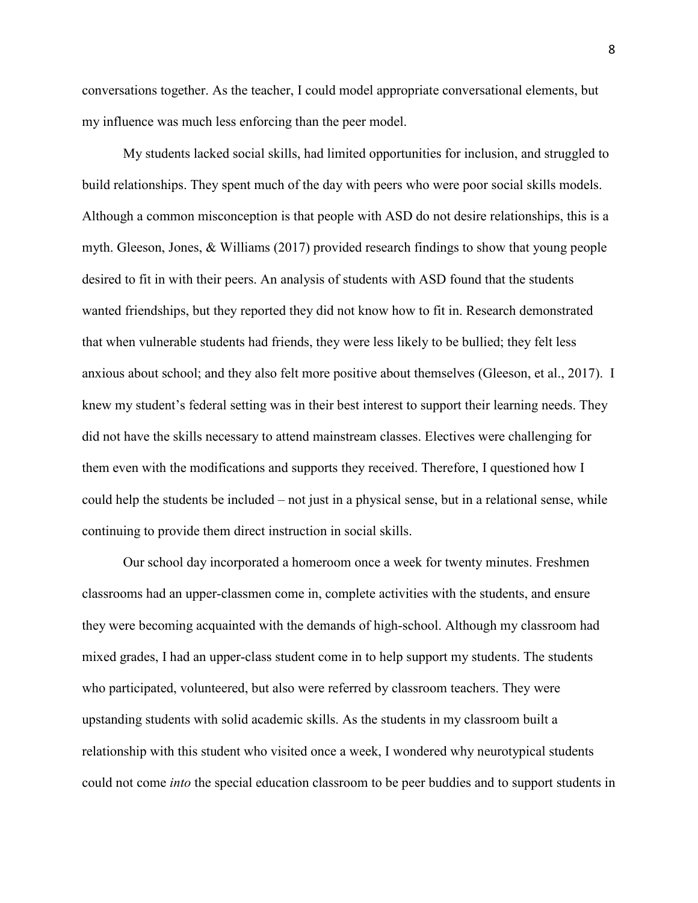conversations together. As the teacher, I could model appropriate conversational elements, but my influence was much less enforcing than the peer model.

My students lacked social skills, had limited opportunities for inclusion, and struggled to build relationships. They spent much of the day with peers who were poor social skills models. Although a common misconception is that people with ASD do not desire relationships, this is a myth. Gleeson, Jones, & Williams (2017) provided research findings to show that young people desired to fit in with their peers. An analysis of students with ASD found that the students wanted friendships, but they reported they did not know how to fit in. Research demonstrated that when vulnerable students had friends, they were less likely to be bullied; they felt less anxious about school; and they also felt more positive about themselves (Gleeson, et al., 2017). I knew my student's federal setting was in their best interest to support their learning needs. They did not have the skills necessary to attend mainstream classes. Electives were challenging for them even with the modifications and supports they received. Therefore, I questioned how I could help the students be included – not just in a physical sense, but in a relational sense, while continuing to provide them direct instruction in social skills.

 Our school day incorporated a homeroom once a week for twenty minutes. Freshmen classrooms had an upper-classmen come in, complete activities with the students, and ensure they were becoming acquainted with the demands of high-school. Although my classroom had mixed grades, I had an upper-class student come in to help support my students. The students who participated, volunteered, but also were referred by classroom teachers. They were upstanding students with solid academic skills. As the students in my classroom built a relationship with this student who visited once a week, I wondered why neurotypical students could not come *into* the special education classroom to be peer buddies and to support students in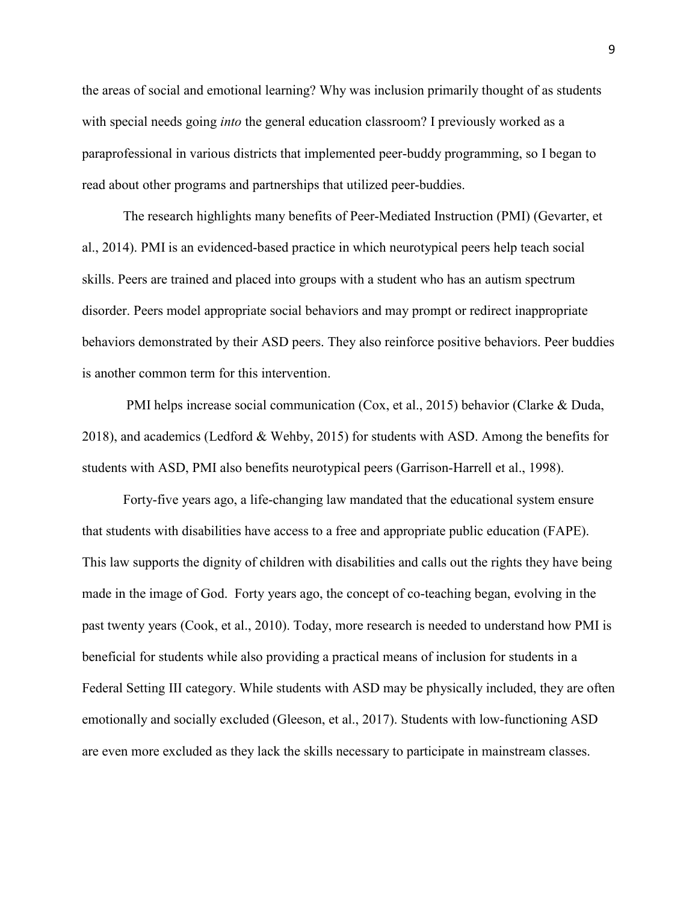the areas of social and emotional learning? Why was inclusion primarily thought of as students with special needs going *into* the general education classroom? I previously worked as a paraprofessional in various districts that implemented peer-buddy programming, so I began to read about other programs and partnerships that utilized peer-buddies.

The research highlights many benefits of Peer-Mediated Instruction (PMI) (Gevarter, et al., 2014). PMI is an evidenced-based practice in which neurotypical peers help teach social skills. Peers are trained and placed into groups with a student who has an autism spectrum disorder. Peers model appropriate social behaviors and may prompt or redirect inappropriate behaviors demonstrated by their ASD peers. They also reinforce positive behaviors. Peer buddies is another common term for this intervention.

 PMI helps increase social communication (Cox, et al., 2015) behavior (Clarke & Duda, 2018), and academics (Ledford & Wehby, 2015) for students with ASD. Among the benefits for students with ASD, PMI also benefits neurotypical peers (Garrison-Harrell et al., 1998).

Forty-five years ago, a life-changing law mandated that the educational system ensure that students with disabilities have access to a free and appropriate public education (FAPE). This law supports the dignity of children with disabilities and calls out the rights they have being made in the image of God. Forty years ago, the concept of co-teaching began, evolving in the past twenty years (Cook, et al., 2010). Today, more research is needed to understand how PMI is beneficial for students while also providing a practical means of inclusion for students in a Federal Setting III category. While students with ASD may be physically included, they are often emotionally and socially excluded (Gleeson, et al., 2017). Students with low-functioning ASD are even more excluded as they lack the skills necessary to participate in mainstream classes.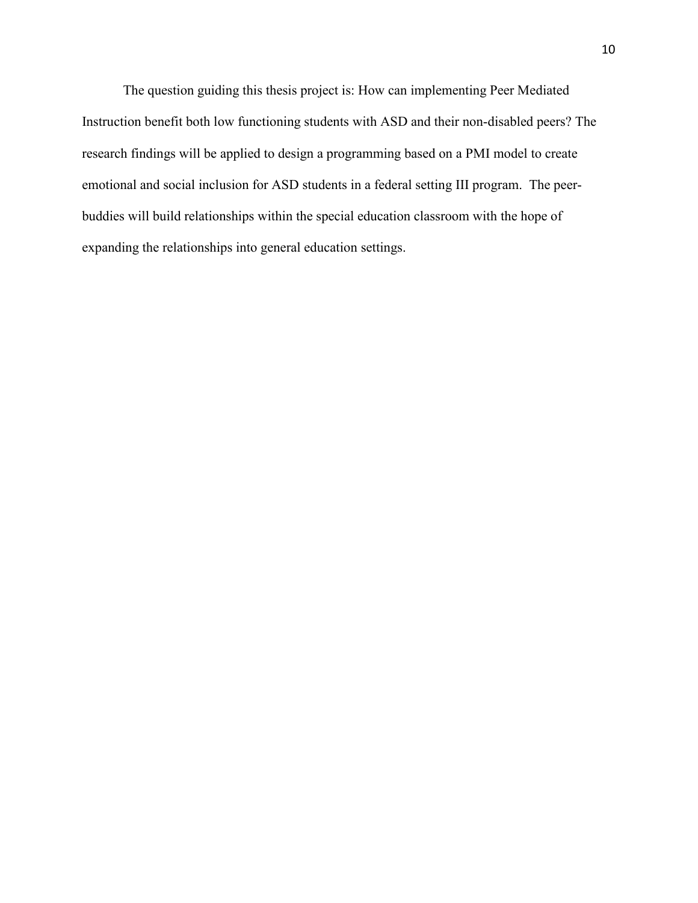The question guiding this thesis project is: How can implementing Peer Mediated Instruction benefit both low functioning students with ASD and their non-disabled peers? The research findings will be applied to design a programming based on a PMI model to create emotional and social inclusion for ASD students in a federal setting III program. The peerbuddies will build relationships within the special education classroom with the hope of expanding the relationships into general education settings.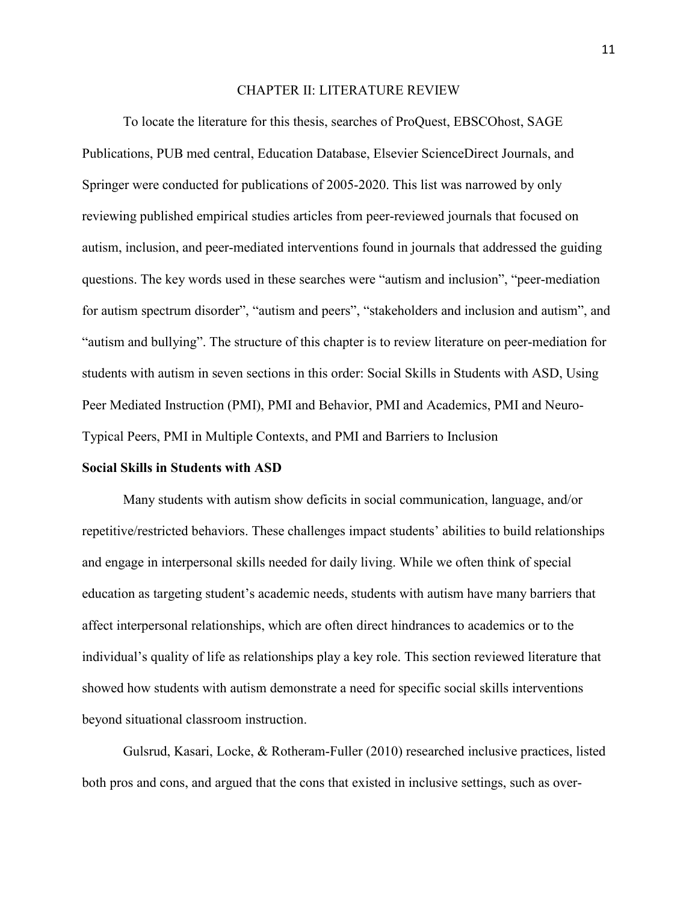#### CHAPTER II: LITERATURE REVIEW

To locate the literature for this thesis, searches of ProQuest, EBSCOhost, SAGE Publications, PUB med central, Education Database, Elsevier ScienceDirect Journals, and Springer were conducted for publications of 2005-2020. This list was narrowed by only reviewing published empirical studies articles from peer-reviewed journals that focused on autism, inclusion, and peer-mediated interventions found in journals that addressed the guiding questions. The key words used in these searches were "autism and inclusion", "peer-mediation for autism spectrum disorder", "autism and peers", "stakeholders and inclusion and autism", and "autism and bullying". The structure of this chapter is to review literature on peer-mediation for students with autism in seven sections in this order: Social Skills in Students with ASD, Using Peer Mediated Instruction (PMI), PMI and Behavior, PMI and Academics, PMI and Neuro-Typical Peers, PMI in Multiple Contexts, and PMI and Barriers to Inclusion

#### **Social Skills in Students with ASD**

Many students with autism show deficits in social communication, language, and/or repetitive/restricted behaviors. These challenges impact students' abilities to build relationships and engage in interpersonal skills needed for daily living. While we often think of special education as targeting student's academic needs, students with autism have many barriers that affect interpersonal relationships, which are often direct hindrances to academics or to the individual's quality of life as relationships play a key role. This section reviewed literature that showed how students with autism demonstrate a need for specific social skills interventions beyond situational classroom instruction.

Gulsrud, Kasari, Locke, & Rotheram-Fuller (2010) researched inclusive practices, listed both pros and cons, and argued that the cons that existed in inclusive settings, such as over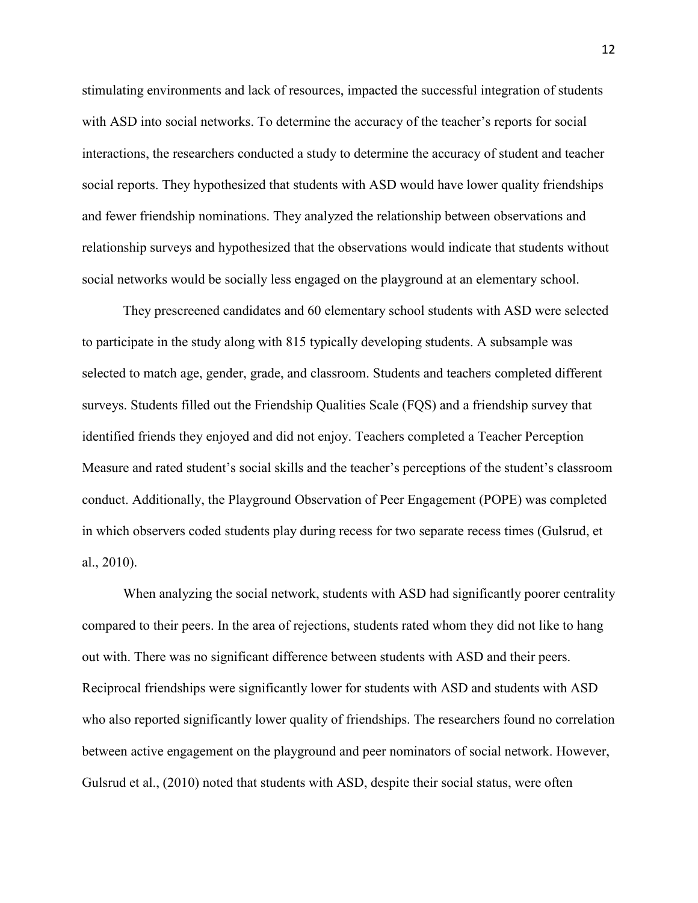stimulating environments and lack of resources, impacted the successful integration of students with ASD into social networks. To determine the accuracy of the teacher's reports for social interactions, the researchers conducted a study to determine the accuracy of student and teacher social reports. They hypothesized that students with ASD would have lower quality friendships and fewer friendship nominations. They analyzed the relationship between observations and relationship surveys and hypothesized that the observations would indicate that students without social networks would be socially less engaged on the playground at an elementary school.

They prescreened candidates and 60 elementary school students with ASD were selected to participate in the study along with 815 typically developing students. A subsample was selected to match age, gender, grade, and classroom. Students and teachers completed different surveys. Students filled out the Friendship Qualities Scale (FQS) and a friendship survey that identified friends they enjoyed and did not enjoy. Teachers completed a Teacher Perception Measure and rated student's social skills and the teacher's perceptions of the student's classroom conduct. Additionally, the Playground Observation of Peer Engagement (POPE) was completed in which observers coded students play during recess for two separate recess times (Gulsrud, et al., 2010).

When analyzing the social network, students with ASD had significantly poorer centrality compared to their peers. In the area of rejections, students rated whom they did not like to hang out with. There was no significant difference between students with ASD and their peers. Reciprocal friendships were significantly lower for students with ASD and students with ASD who also reported significantly lower quality of friendships. The researchers found no correlation between active engagement on the playground and peer nominators of social network. However, Gulsrud et al., (2010) noted that students with ASD, despite their social status, were often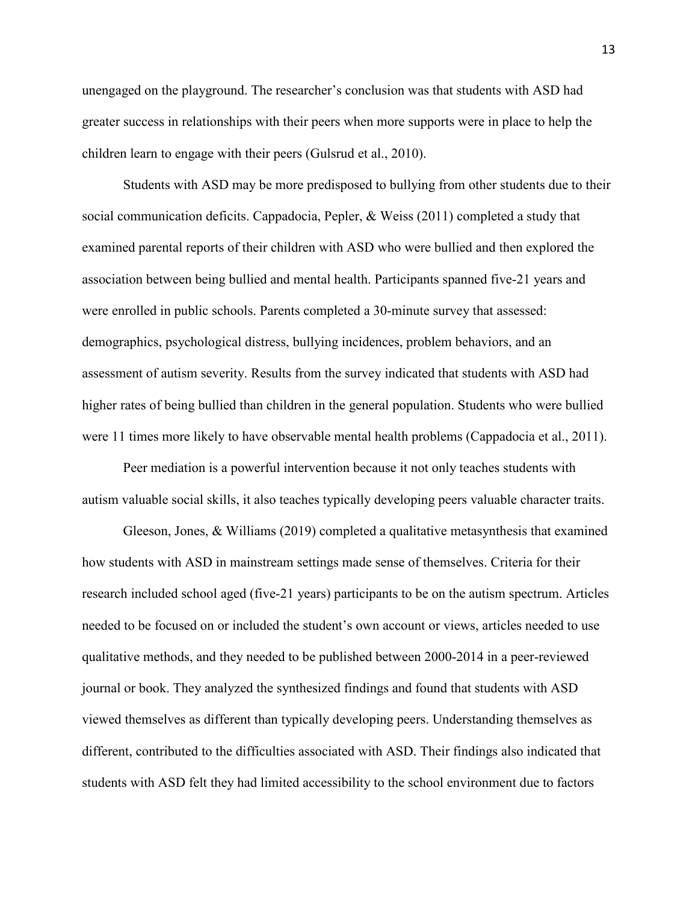unengaged on the playground. The researcher's conclusion was that students with ASD had greater success in relationships with their peers when more supports were in place to help the children learn to engage with their peers (Gulsrud et al., 2010).

Students with ASD may be more predisposed to bullying from other students due to their social communication deficits. Cappadocia, Pepler, & Weiss (2011) completed a study that examined parental reports of their children with ASD who were bullied and then explored the association between being bullied and mental health. Participants spanned five-21 years and were enrolled in public schools. Parents completed a 30-minute survey that assessed: demographics, psychological distress, bullying incidences, problem behaviors, and an assessment of autism severity. Results from the survey indicated that students with ASD had higher rates of being bullied than children in the general population. Students who were bullied were 11 times more likely to have observable mental health problems (Cappadocia et al., 2011).

Peer mediation is a powerful intervention because it not only teaches students with autism valuable social skills, it also teaches typically developing peers valuable character traits.

Gleeson, Jones, & Williams (2019) completed a qualitative metasynthesis that examined how students with ASD in mainstream settings made sense of themselves. Criteria for their research included school aged (five-21 years) participants to be on the autism spectrum. Articles needed to be focused on or included the student's own account or views, articles needed to use qualitative methods, and they needed to be published between 2000-2014 in a peer-reviewed journal or book. They analyzed the synthesized findings and found that students with ASD viewed themselves as different than typically developing peers. Understanding themselves as different, contributed to the difficulties associated with ASD. Their findings also indicated that students with ASD felt they had limited accessibility to the school environment due to factors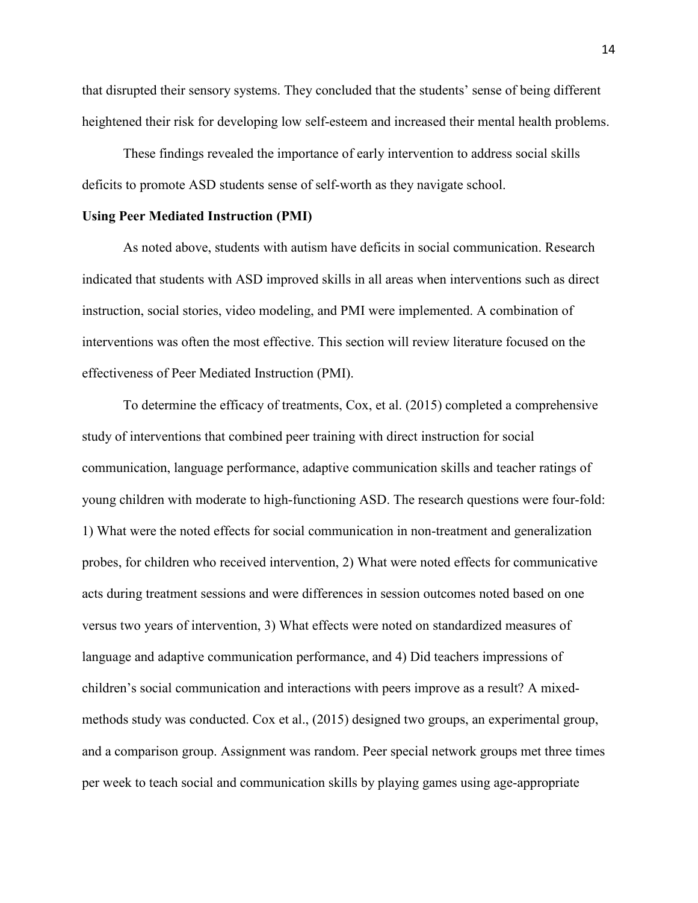that disrupted their sensory systems. They concluded that the students' sense of being different heightened their risk for developing low self-esteem and increased their mental health problems.

These findings revealed the importance of early intervention to address social skills deficits to promote ASD students sense of self-worth as they navigate school.

#### **Using Peer Mediated Instruction (PMI)**

 As noted above, students with autism have deficits in social communication. Research indicated that students with ASD improved skills in all areas when interventions such as direct instruction, social stories, video modeling, and PMI were implemented. A combination of interventions was often the most effective. This section will review literature focused on the effectiveness of Peer Mediated Instruction (PMI).

To determine the efficacy of treatments, Cox, et al. (2015) completed a comprehensive study of interventions that combined peer training with direct instruction for social communication, language performance, adaptive communication skills and teacher ratings of young children with moderate to high-functioning ASD. The research questions were four-fold: 1) What were the noted effects for social communication in non-treatment and generalization probes, for children who received intervention, 2) What were noted effects for communicative acts during treatment sessions and were differences in session outcomes noted based on one versus two years of intervention, 3) What effects were noted on standardized measures of language and adaptive communication performance, and 4) Did teachers impressions of children's social communication and interactions with peers improve as a result? A mixedmethods study was conducted. Cox et al., (2015) designed two groups, an experimental group, and a comparison group. Assignment was random. Peer special network groups met three times per week to teach social and communication skills by playing games using age-appropriate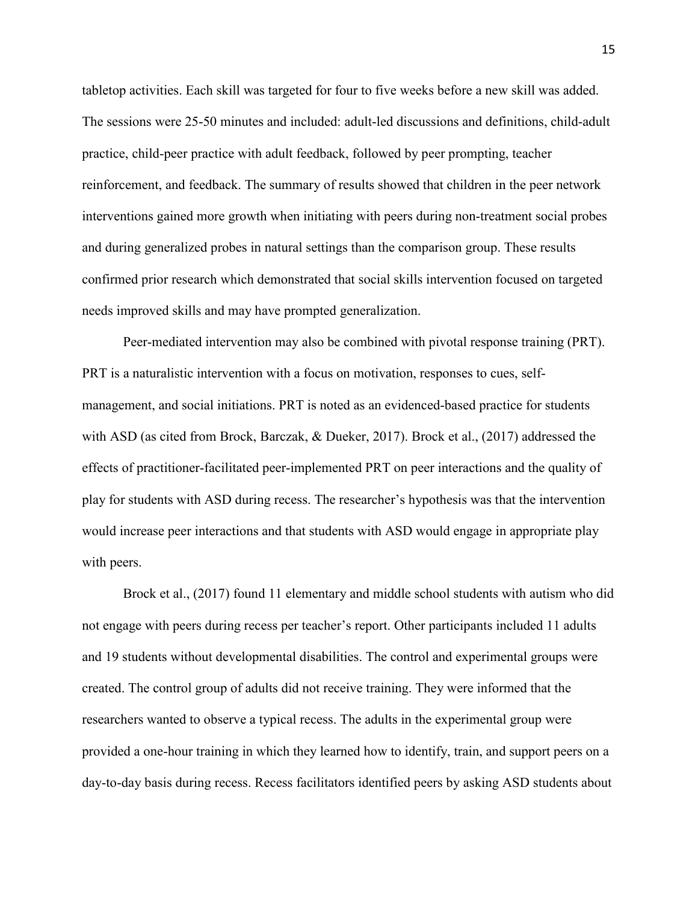tabletop activities. Each skill was targeted for four to five weeks before a new skill was added. The sessions were 25-50 minutes and included: adult-led discussions and definitions, child-adult practice, child-peer practice with adult feedback, followed by peer prompting, teacher reinforcement, and feedback. The summary of results showed that children in the peer network interventions gained more growth when initiating with peers during non-treatment social probes and during generalized probes in natural settings than the comparison group. These results confirmed prior research which demonstrated that social skills intervention focused on targeted needs improved skills and may have prompted generalization.

Peer-mediated intervention may also be combined with pivotal response training (PRT). PRT is a naturalistic intervention with a focus on motivation, responses to cues, selfmanagement, and social initiations. PRT is noted as an evidenced-based practice for students with ASD (as cited from Brock, Barczak, & Dueker, 2017). Brock et al., (2017) addressed the effects of practitioner-facilitated peer-implemented PRT on peer interactions and the quality of play for students with ASD during recess. The researcher's hypothesis was that the intervention would increase peer interactions and that students with ASD would engage in appropriate play with peers.

Brock et al., (2017) found 11 elementary and middle school students with autism who did not engage with peers during recess per teacher's report. Other participants included 11 adults and 19 students without developmental disabilities. The control and experimental groups were created. The control group of adults did not receive training. They were informed that the researchers wanted to observe a typical recess. The adults in the experimental group were provided a one-hour training in which they learned how to identify, train, and support peers on a day-to-day basis during recess. Recess facilitators identified peers by asking ASD students about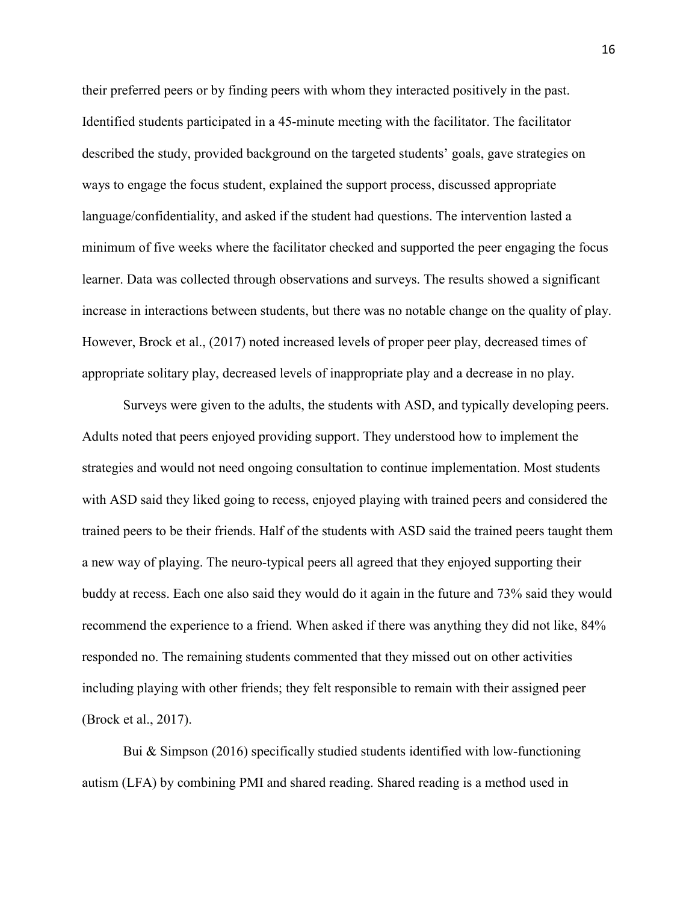their preferred peers or by finding peers with whom they interacted positively in the past. Identified students participated in a 45-minute meeting with the facilitator. The facilitator described the study, provided background on the targeted students' goals, gave strategies on ways to engage the focus student, explained the support process, discussed appropriate language/confidentiality, and asked if the student had questions. The intervention lasted a minimum of five weeks where the facilitator checked and supported the peer engaging the focus learner. Data was collected through observations and surveys. The results showed a significant increase in interactions between students, but there was no notable change on the quality of play. However, Brock et al., (2017) noted increased levels of proper peer play, decreased times of appropriate solitary play, decreased levels of inappropriate play and a decrease in no play.

 Surveys were given to the adults, the students with ASD, and typically developing peers. Adults noted that peers enjoyed providing support. They understood how to implement the strategies and would not need ongoing consultation to continue implementation. Most students with ASD said they liked going to recess, enjoyed playing with trained peers and considered the trained peers to be their friends. Half of the students with ASD said the trained peers taught them a new way of playing. The neuro-typical peers all agreed that they enjoyed supporting their buddy at recess. Each one also said they would do it again in the future and 73% said they would recommend the experience to a friend. When asked if there was anything they did not like, 84% responded no. The remaining students commented that they missed out on other activities including playing with other friends; they felt responsible to remain with their assigned peer (Brock et al., 2017).

 Bui & Simpson (2016) specifically studied students identified with low-functioning autism (LFA) by combining PMI and shared reading. Shared reading is a method used in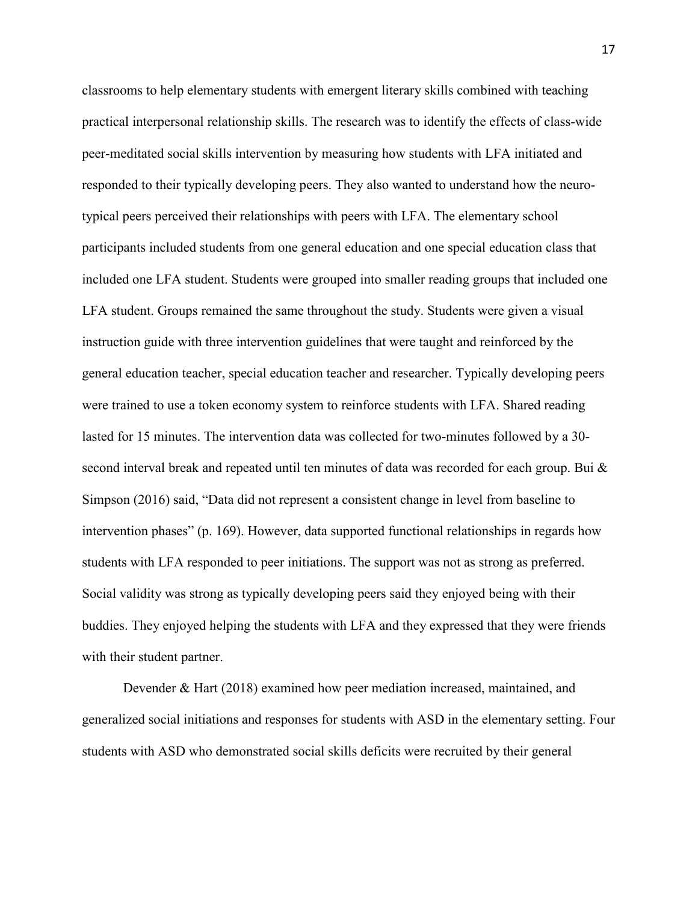classrooms to help elementary students with emergent literary skills combined with teaching practical interpersonal relationship skills. The research was to identify the effects of class-wide peer-meditated social skills intervention by measuring how students with LFA initiated and responded to their typically developing peers. They also wanted to understand how the neurotypical peers perceived their relationships with peers with LFA. The elementary school participants included students from one general education and one special education class that included one LFA student. Students were grouped into smaller reading groups that included one LFA student. Groups remained the same throughout the study. Students were given a visual instruction guide with three intervention guidelines that were taught and reinforced by the general education teacher, special education teacher and researcher. Typically developing peers were trained to use a token economy system to reinforce students with LFA. Shared reading lasted for 15 minutes. The intervention data was collected for two-minutes followed by a 30 second interval break and repeated until ten minutes of data was recorded for each group. Bui & Simpson (2016) said, "Data did not represent a consistent change in level from baseline to intervention phases" (p. 169). However, data supported functional relationships in regards how students with LFA responded to peer initiations. The support was not as strong as preferred. Social validity was strong as typically developing peers said they enjoyed being with their buddies. They enjoyed helping the students with LFA and they expressed that they were friends with their student partner.

Devender & Hart (2018) examined how peer mediation increased, maintained, and generalized social initiations and responses for students with ASD in the elementary setting. Four students with ASD who demonstrated social skills deficits were recruited by their general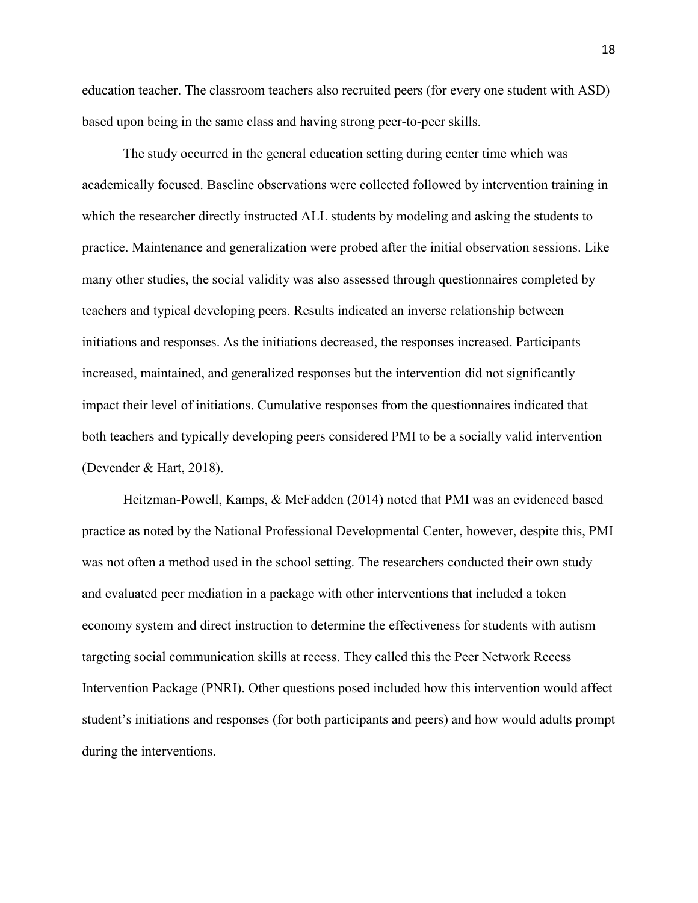education teacher. The classroom teachers also recruited peers (for every one student with ASD) based upon being in the same class and having strong peer-to-peer skills.

The study occurred in the general education setting during center time which was academically focused. Baseline observations were collected followed by intervention training in which the researcher directly instructed ALL students by modeling and asking the students to practice. Maintenance and generalization were probed after the initial observation sessions. Like many other studies, the social validity was also assessed through questionnaires completed by teachers and typical developing peers. Results indicated an inverse relationship between initiations and responses. As the initiations decreased, the responses increased. Participants increased, maintained, and generalized responses but the intervention did not significantly impact their level of initiations. Cumulative responses from the questionnaires indicated that both teachers and typically developing peers considered PMI to be a socially valid intervention (Devender & Hart, 2018).

Heitzman-Powell, Kamps, & McFadden (2014) noted that PMI was an evidenced based practice as noted by the National Professional Developmental Center, however, despite this, PMI was not often a method used in the school setting. The researchers conducted their own study and evaluated peer mediation in a package with other interventions that included a token economy system and direct instruction to determine the effectiveness for students with autism targeting social communication skills at recess. They called this the Peer Network Recess Intervention Package (PNRI). Other questions posed included how this intervention would affect student's initiations and responses (for both participants and peers) and how would adults prompt during the interventions.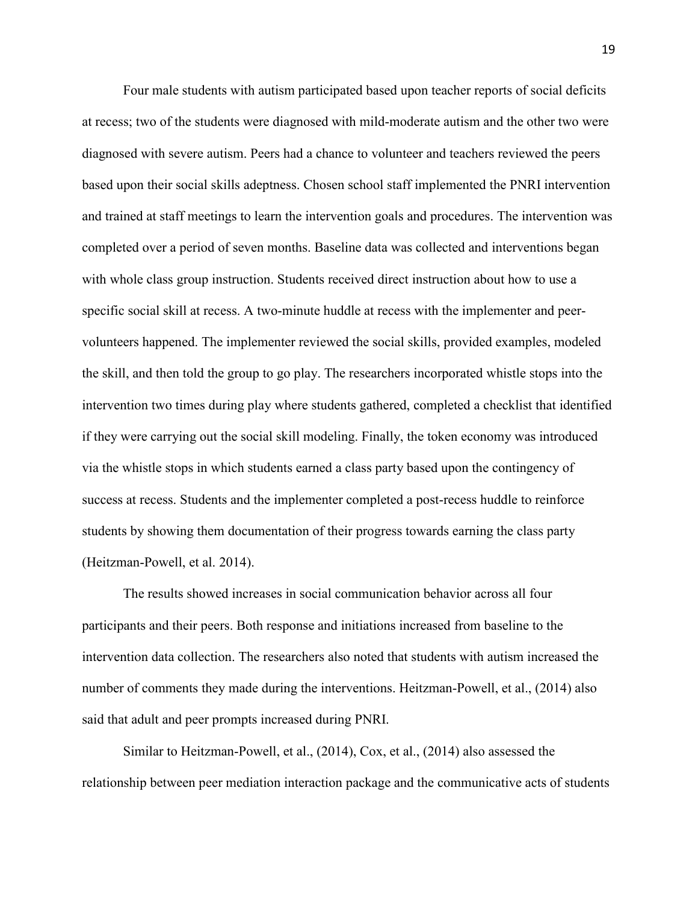Four male students with autism participated based upon teacher reports of social deficits at recess; two of the students were diagnosed with mild-moderate autism and the other two were diagnosed with severe autism. Peers had a chance to volunteer and teachers reviewed the peers based upon their social skills adeptness. Chosen school staff implemented the PNRI intervention and trained at staff meetings to learn the intervention goals and procedures. The intervention was completed over a period of seven months. Baseline data was collected and interventions began with whole class group instruction. Students received direct instruction about how to use a specific social skill at recess. A two-minute huddle at recess with the implementer and peervolunteers happened. The implementer reviewed the social skills, provided examples, modeled the skill, and then told the group to go play. The researchers incorporated whistle stops into the intervention two times during play where students gathered, completed a checklist that identified if they were carrying out the social skill modeling. Finally, the token economy was introduced via the whistle stops in which students earned a class party based upon the contingency of success at recess. Students and the implementer completed a post-recess huddle to reinforce students by showing them documentation of their progress towards earning the class party (Heitzman-Powell, et al. 2014).

 The results showed increases in social communication behavior across all four participants and their peers. Both response and initiations increased from baseline to the intervention data collection. The researchers also noted that students with autism increased the number of comments they made during the interventions. Heitzman-Powell, et al., (2014) also said that adult and peer prompts increased during PNRI.

Similar to Heitzman-Powell, et al., (2014), Cox, et al., (2014) also assessed the relationship between peer mediation interaction package and the communicative acts of students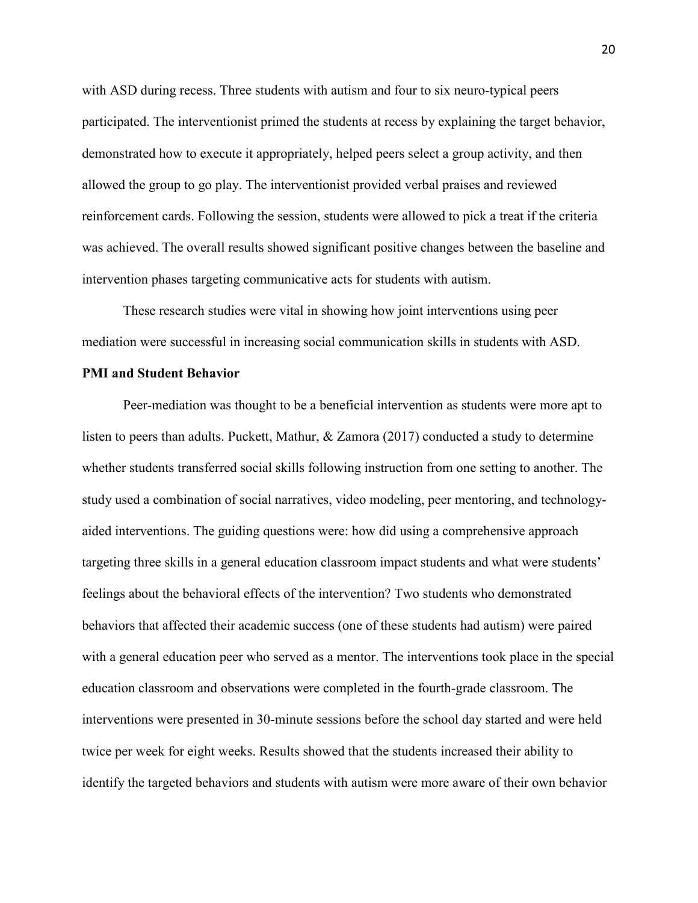with ASD during recess. Three students with autism and four to six neuro-typical peers participated. The interventionist primed the students at recess by explaining the target behavior, demonstrated how to execute it appropriately, helped peers select a group activity, and then allowed the group to go play. The interventionist provided verbal praises and reviewed reinforcement cards. Following the session, students were allowed to pick a treat if the criteria was achieved. The overall results showed significant positive changes between the baseline and intervention phases targeting communicative acts for students with autism.

These research studies were vital in showing how joint interventions using peer mediation were successful in increasing social communication skills in students with ASD.

#### **PMI and Student Behavior**

Peer-mediation was thought to be a beneficial intervention as students were more apt to listen to peers than adults. Puckett, Mathur, & Zamora (2017) conducted a study to determine whether students transferred social skills following instruction from one setting to another. The study used a combination of social narratives, video modeling, peer mentoring, and technologyaided interventions. The guiding questions were: how did using a comprehensive approach targeting three skills in a general education classroom impact students and what were students' feelings about the behavioral effects of the intervention? Two students who demonstrated behaviors that affected their academic success (one of these students had autism) were paired with a general education peer who served as a mentor. The interventions took place in the special education classroom and observations were completed in the fourth-grade classroom. The interventions were presented in 30-minute sessions before the school day started and were held twice per week for eight weeks. Results showed that the students increased their ability to identify the targeted behaviors and students with autism were more aware of their own behavior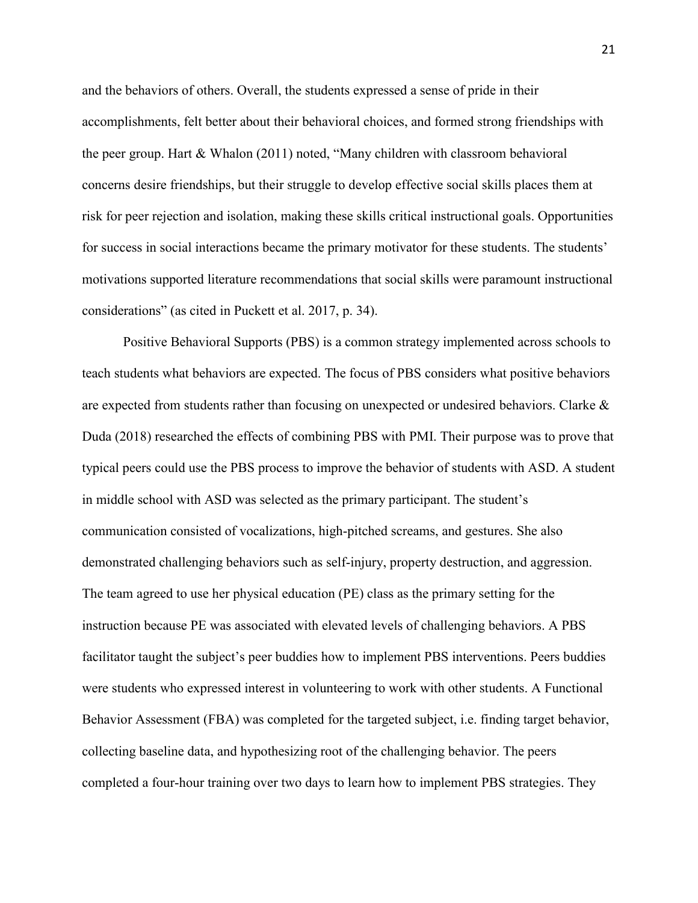and the behaviors of others. Overall, the students expressed a sense of pride in their accomplishments, felt better about their behavioral choices, and formed strong friendships with the peer group. Hart & Whalon (2011) noted, "Many children with classroom behavioral concerns desire friendships, but their struggle to develop effective social skills places them at risk for peer rejection and isolation, making these skills critical instructional goals. Opportunities for success in social interactions became the primary motivator for these students. The students' motivations supported literature recommendations that social skills were paramount instructional considerations" (as cited in Puckett et al. 2017, p. 34).

 Positive Behavioral Supports (PBS) is a common strategy implemented across schools to teach students what behaviors are expected. The focus of PBS considers what positive behaviors are expected from students rather than focusing on unexpected or undesired behaviors. Clarke & Duda (2018) researched the effects of combining PBS with PMI. Their purpose was to prove that typical peers could use the PBS process to improve the behavior of students with ASD. A student in middle school with ASD was selected as the primary participant. The student's communication consisted of vocalizations, high-pitched screams, and gestures. She also demonstrated challenging behaviors such as self-injury, property destruction, and aggression. The team agreed to use her physical education (PE) class as the primary setting for the instruction because PE was associated with elevated levels of challenging behaviors. A PBS facilitator taught the subject's peer buddies how to implement PBS interventions. Peers buddies were students who expressed interest in volunteering to work with other students. A Functional Behavior Assessment (FBA) was completed for the targeted subject, i.e. finding target behavior, collecting baseline data, and hypothesizing root of the challenging behavior. The peers completed a four-hour training over two days to learn how to implement PBS strategies. They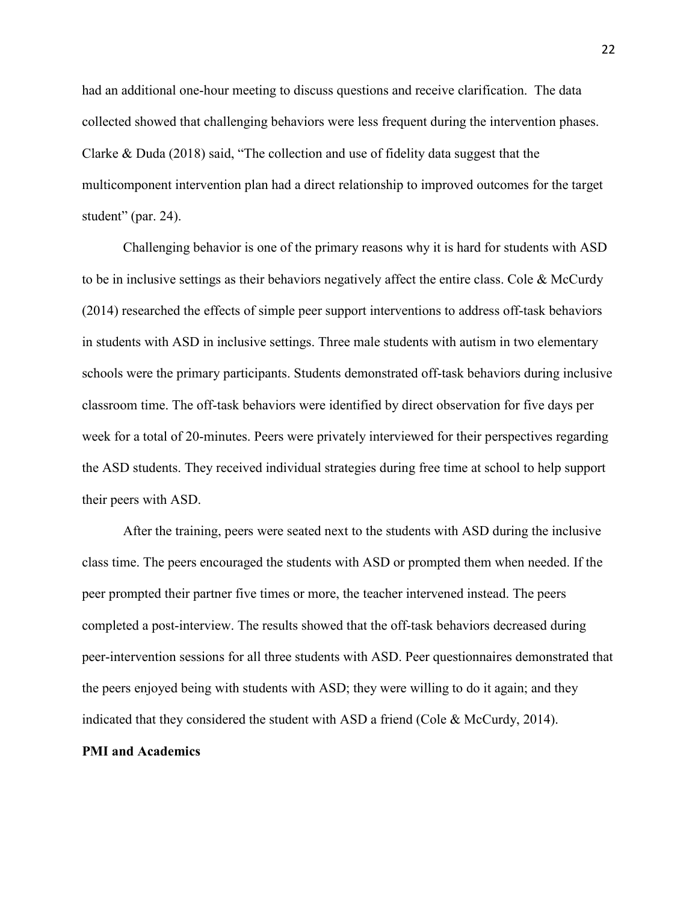had an additional one-hour meeting to discuss questions and receive clarification. The data collected showed that challenging behaviors were less frequent during the intervention phases. Clarke & Duda (2018) said, "The collection and use of fidelity data suggest that the multicomponent intervention plan had a direct relationship to improved outcomes for the target student" (par. 24).

 Challenging behavior is one of the primary reasons why it is hard for students with ASD to be in inclusive settings as their behaviors negatively affect the entire class. Cole & McCurdy (2014) researched the effects of simple peer support interventions to address off-task behaviors in students with ASD in inclusive settings. Three male students with autism in two elementary schools were the primary participants. Students demonstrated off-task behaviors during inclusive classroom time. The off-task behaviors were identified by direct observation for five days per week for a total of 20-minutes. Peers were privately interviewed for their perspectives regarding the ASD students. They received individual strategies during free time at school to help support their peers with ASD.

After the training, peers were seated next to the students with ASD during the inclusive class time. The peers encouraged the students with ASD or prompted them when needed. If the peer prompted their partner five times or more, the teacher intervened instead. The peers completed a post-interview. The results showed that the off-task behaviors decreased during peer-intervention sessions for all three students with ASD. Peer questionnaires demonstrated that the peers enjoyed being with students with ASD; they were willing to do it again; and they indicated that they considered the student with ASD a friend (Cole & McCurdy, 2014).

## **PMI and Academics**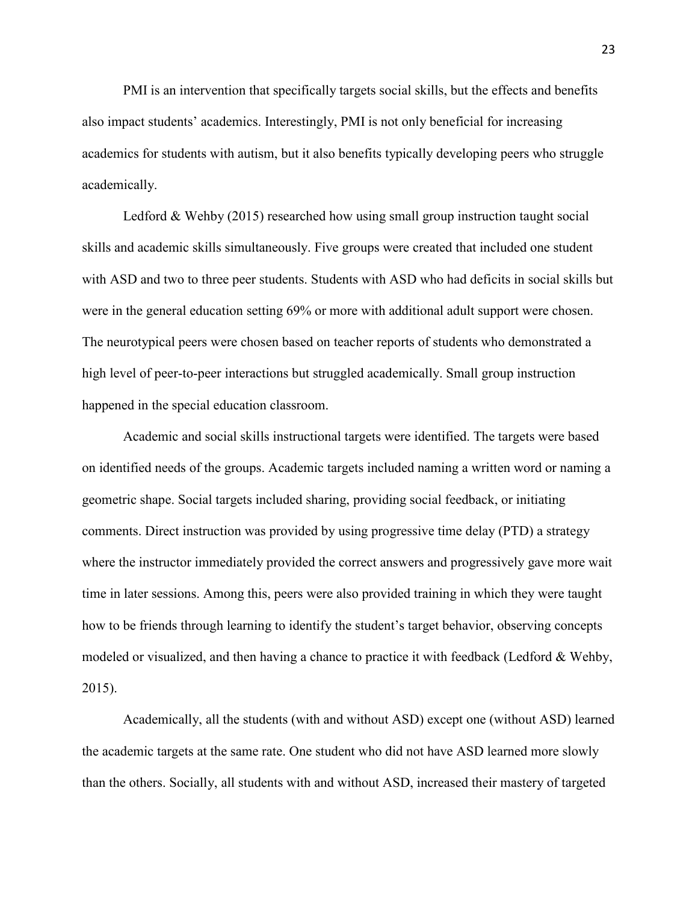PMI is an intervention that specifically targets social skills, but the effects and benefits also impact students' academics. Interestingly, PMI is not only beneficial for increasing academics for students with autism, but it also benefits typically developing peers who struggle academically.

 Ledford & Wehby (2015) researched how using small group instruction taught social skills and academic skills simultaneously. Five groups were created that included one student with ASD and two to three peer students. Students with ASD who had deficits in social skills but were in the general education setting 69% or more with additional adult support were chosen. The neurotypical peers were chosen based on teacher reports of students who demonstrated a high level of peer-to-peer interactions but struggled academically. Small group instruction happened in the special education classroom.

Academic and social skills instructional targets were identified. The targets were based on identified needs of the groups. Academic targets included naming a written word or naming a geometric shape. Social targets included sharing, providing social feedback, or initiating comments. Direct instruction was provided by using progressive time delay (PTD) a strategy where the instructor immediately provided the correct answers and progressively gave more wait time in later sessions. Among this, peers were also provided training in which they were taught how to be friends through learning to identify the student's target behavior, observing concepts modeled or visualized, and then having a chance to practice it with feedback (Ledford & Wehby, 2015).

Academically, all the students (with and without ASD) except one (without ASD) learned the academic targets at the same rate. One student who did not have ASD learned more slowly than the others. Socially, all students with and without ASD, increased their mastery of targeted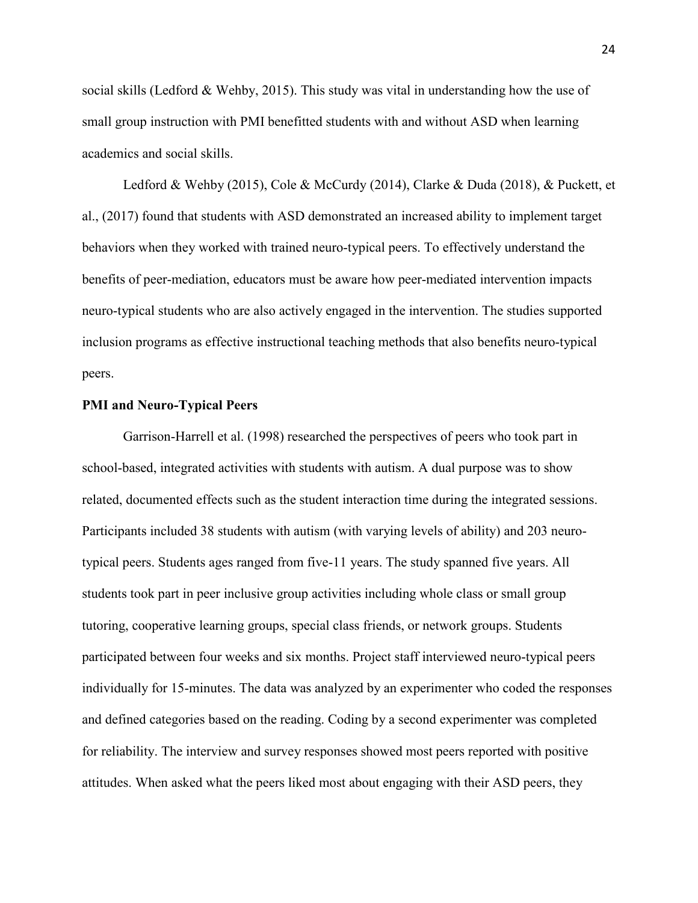social skills (Ledford & Wehby, 2015). This study was vital in understanding how the use of small group instruction with PMI benefitted students with and without ASD when learning academics and social skills.

Ledford & Wehby (2015), Cole & McCurdy (2014), Clarke & Duda (2018), & Puckett, et al., (2017) found that students with ASD demonstrated an increased ability to implement target behaviors when they worked with trained neuro-typical peers. To effectively understand the benefits of peer-mediation, educators must be aware how peer-mediated intervention impacts neuro-typical students who are also actively engaged in the intervention. The studies supported inclusion programs as effective instructional teaching methods that also benefits neuro-typical peers.

#### **PMI and Neuro-Typical Peers**

Garrison-Harrell et al. (1998) researched the perspectives of peers who took part in school-based, integrated activities with students with autism. A dual purpose was to show related, documented effects such as the student interaction time during the integrated sessions. Participants included 38 students with autism (with varying levels of ability) and 203 neurotypical peers. Students ages ranged from five-11 years. The study spanned five years. All students took part in peer inclusive group activities including whole class or small group tutoring, cooperative learning groups, special class friends, or network groups. Students participated between four weeks and six months. Project staff interviewed neuro-typical peers individually for 15-minutes. The data was analyzed by an experimenter who coded the responses and defined categories based on the reading. Coding by a second experimenter was completed for reliability. The interview and survey responses showed most peers reported with positive attitudes. When asked what the peers liked most about engaging with their ASD peers, they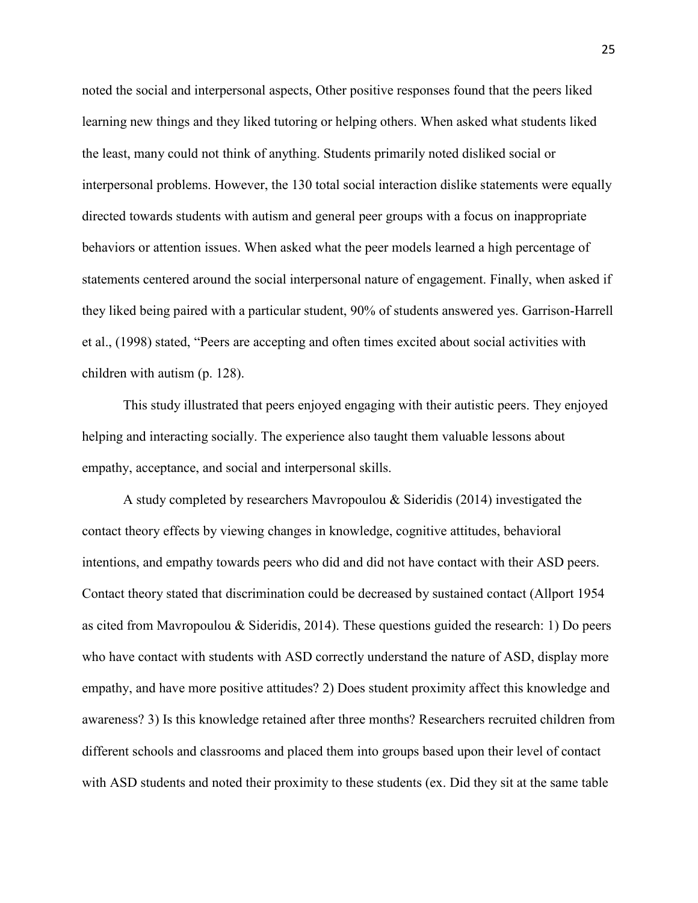noted the social and interpersonal aspects, Other positive responses found that the peers liked learning new things and they liked tutoring or helping others. When asked what students liked the least, many could not think of anything. Students primarily noted disliked social or interpersonal problems. However, the 130 total social interaction dislike statements were equally directed towards students with autism and general peer groups with a focus on inappropriate behaviors or attention issues. When asked what the peer models learned a high percentage of statements centered around the social interpersonal nature of engagement. Finally, when asked if they liked being paired with a particular student, 90% of students answered yes. Garrison-Harrell et al., (1998) stated, "Peers are accepting and often times excited about social activities with children with autism (p. 128).

 This study illustrated that peers enjoyed engaging with their autistic peers. They enjoyed helping and interacting socially. The experience also taught them valuable lessons about empathy, acceptance, and social and interpersonal skills.

 A study completed by researchers Mavropoulou & Sideridis (2014) investigated the contact theory effects by viewing changes in knowledge, cognitive attitudes, behavioral intentions, and empathy towards peers who did and did not have contact with their ASD peers. Contact theory stated that discrimination could be decreased by sustained contact (Allport 1954 as cited from Mavropoulou & Sideridis, 2014). These questions guided the research: 1) Do peers who have contact with students with ASD correctly understand the nature of ASD, display more empathy, and have more positive attitudes? 2) Does student proximity affect this knowledge and awareness? 3) Is this knowledge retained after three months? Researchers recruited children from different schools and classrooms and placed them into groups based upon their level of contact with ASD students and noted their proximity to these students (ex. Did they sit at the same table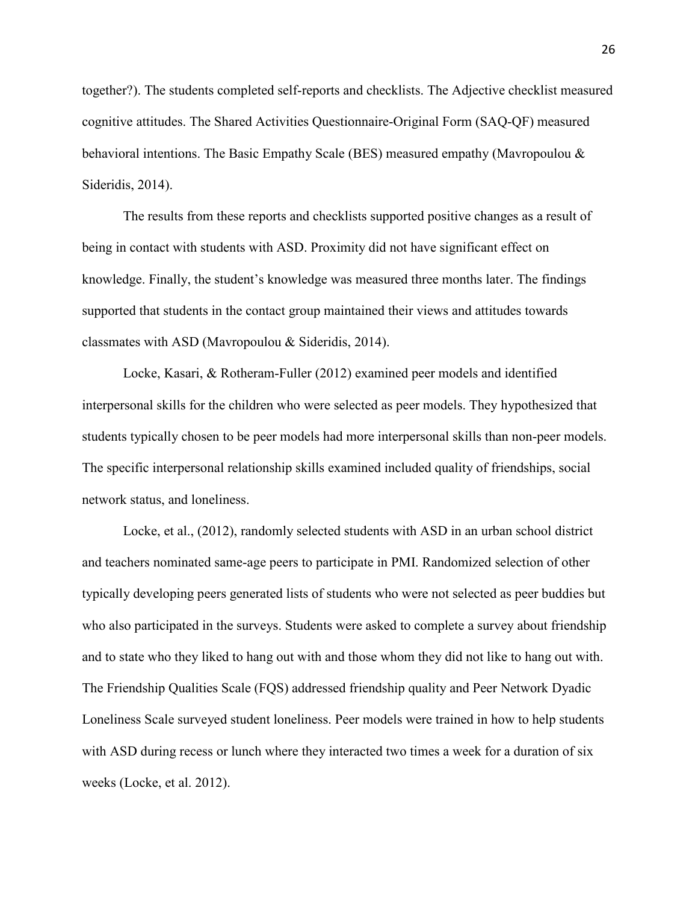together?). The students completed self-reports and checklists. The Adjective checklist measured cognitive attitudes. The Shared Activities Questionnaire-Original Form (SAQ-QF) measured behavioral intentions. The Basic Empathy Scale (BES) measured empathy (Mavropoulou & Sideridis, 2014).

 The results from these reports and checklists supported positive changes as a result of being in contact with students with ASD. Proximity did not have significant effect on knowledge. Finally, the student's knowledge was measured three months later. The findings supported that students in the contact group maintained their views and attitudes towards classmates with ASD (Mavropoulou & Sideridis, 2014).

Locke, Kasari, & Rotheram-Fuller (2012) examined peer models and identified interpersonal skills for the children who were selected as peer models. They hypothesized that students typically chosen to be peer models had more interpersonal skills than non-peer models. The specific interpersonal relationship skills examined included quality of friendships, social network status, and loneliness.

Locke, et al., (2012), randomly selected students with ASD in an urban school district and teachers nominated same-age peers to participate in PMI. Randomized selection of other typically developing peers generated lists of students who were not selected as peer buddies but who also participated in the surveys. Students were asked to complete a survey about friendship and to state who they liked to hang out with and those whom they did not like to hang out with. The Friendship Qualities Scale (FQS) addressed friendship quality and Peer Network Dyadic Loneliness Scale surveyed student loneliness. Peer models were trained in how to help students with ASD during recess or lunch where they interacted two times a week for a duration of six weeks (Locke, et al. 2012).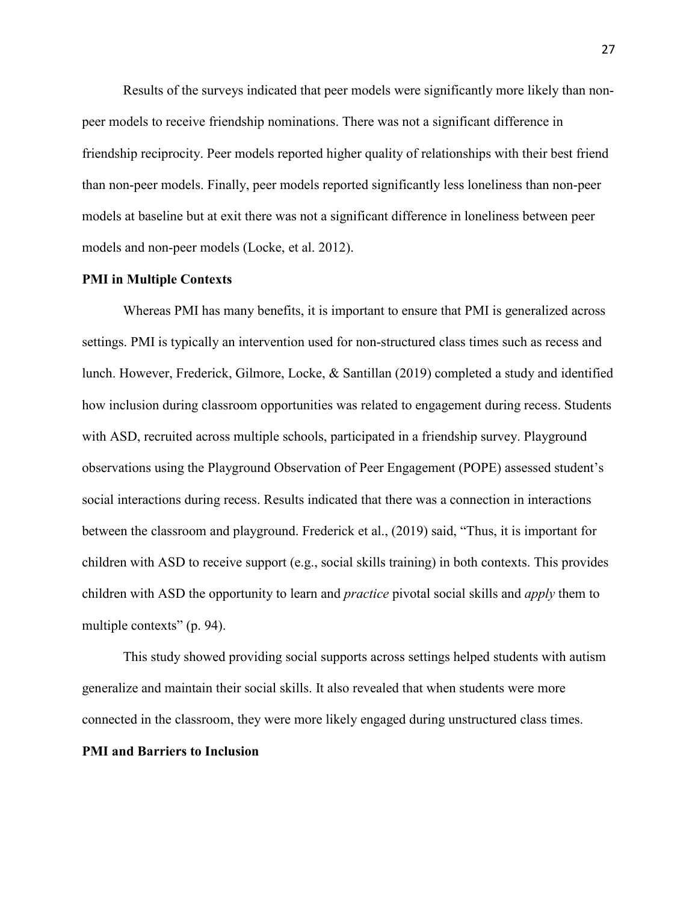Results of the surveys indicated that peer models were significantly more likely than nonpeer models to receive friendship nominations. There was not a significant difference in friendship reciprocity. Peer models reported higher quality of relationships with their best friend than non-peer models. Finally, peer models reported significantly less loneliness than non-peer models at baseline but at exit there was not a significant difference in loneliness between peer models and non-peer models (Locke, et al. 2012).

#### **PMI in Multiple Contexts**

Whereas PMI has many benefits, it is important to ensure that PMI is generalized across settings. PMI is typically an intervention used for non-structured class times such as recess and lunch. However, Frederick, Gilmore, Locke, & Santillan (2019) completed a study and identified how inclusion during classroom opportunities was related to engagement during recess. Students with ASD, recruited across multiple schools, participated in a friendship survey. Playground observations using the Playground Observation of Peer Engagement (POPE) assessed student's social interactions during recess. Results indicated that there was a connection in interactions between the classroom and playground. Frederick et al., (2019) said, "Thus, it is important for children with ASD to receive support (e.g., social skills training) in both contexts. This provides children with ASD the opportunity to learn and *practice* pivotal social skills and *apply* them to multiple contexts" (p. 94).

 This study showed providing social supports across settings helped students with autism generalize and maintain their social skills. It also revealed that when students were more connected in the classroom, they were more likely engaged during unstructured class times. **PMI and Barriers to Inclusion**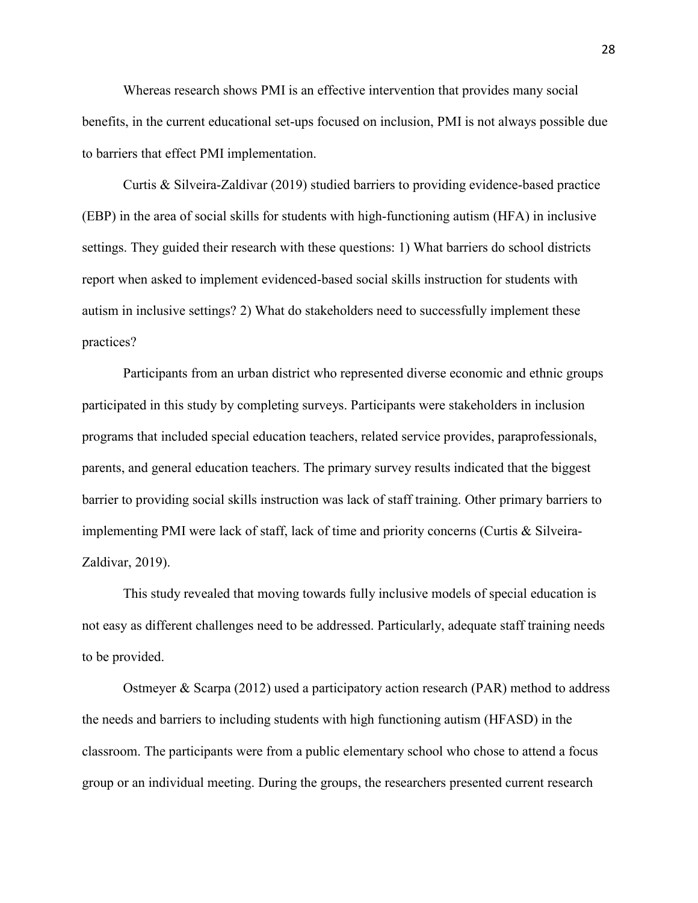Whereas research shows PMI is an effective intervention that provides many social benefits, in the current educational set-ups focused on inclusion, PMI is not always possible due to barriers that effect PMI implementation.

Curtis & Silveira-Zaldivar (2019) studied barriers to providing evidence-based practice (EBP) in the area of social skills for students with high-functioning autism (HFA) in inclusive settings. They guided their research with these questions: 1) What barriers do school districts report when asked to implement evidenced-based social skills instruction for students with autism in inclusive settings? 2) What do stakeholders need to successfully implement these practices?

Participants from an urban district who represented diverse economic and ethnic groups participated in this study by completing surveys. Participants were stakeholders in inclusion programs that included special education teachers, related service provides, paraprofessionals, parents, and general education teachers. The primary survey results indicated that the biggest barrier to providing social skills instruction was lack of staff training. Other primary barriers to implementing PMI were lack of staff, lack of time and priority concerns (Curtis & Silveira-Zaldivar, 2019).

 This study revealed that moving towards fully inclusive models of special education is not easy as different challenges need to be addressed. Particularly, adequate staff training needs to be provided.

 Ostmeyer & Scarpa (2012) used a participatory action research (PAR) method to address the needs and barriers to including students with high functioning autism (HFASD) in the classroom. The participants were from a public elementary school who chose to attend a focus group or an individual meeting. During the groups, the researchers presented current research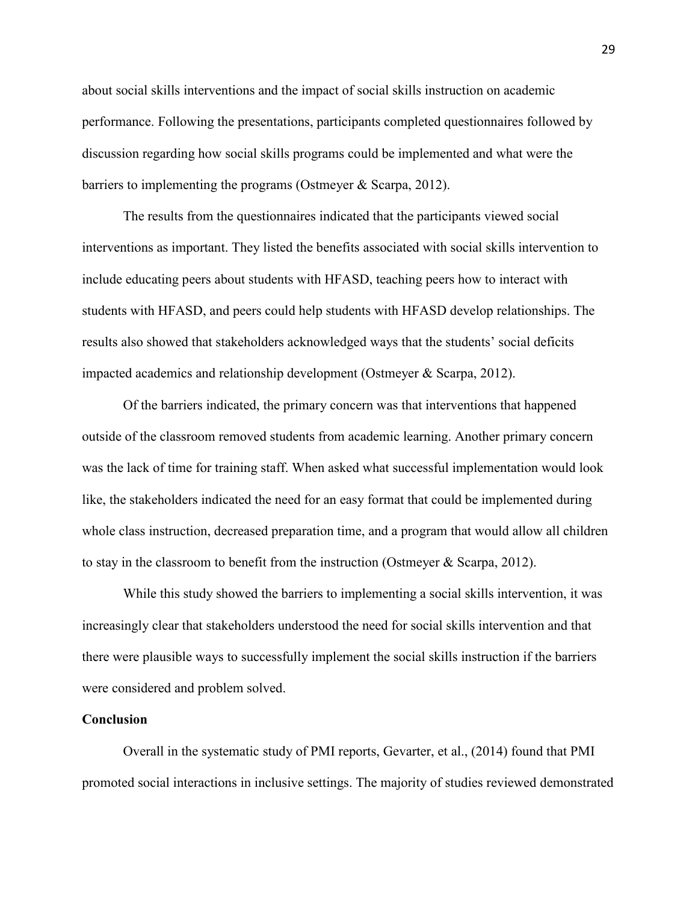about social skills interventions and the impact of social skills instruction on academic performance. Following the presentations, participants completed questionnaires followed by discussion regarding how social skills programs could be implemented and what were the barriers to implementing the programs (Ostmeyer & Scarpa, 2012).

 The results from the questionnaires indicated that the participants viewed social interventions as important. They listed the benefits associated with social skills intervention to include educating peers about students with HFASD, teaching peers how to interact with students with HFASD, and peers could help students with HFASD develop relationships. The results also showed that stakeholders acknowledged ways that the students' social deficits impacted academics and relationship development (Ostmeyer & Scarpa, 2012).

Of the barriers indicated, the primary concern was that interventions that happened outside of the classroom removed students from academic learning. Another primary concern was the lack of time for training staff. When asked what successful implementation would look like, the stakeholders indicated the need for an easy format that could be implemented during whole class instruction, decreased preparation time, and a program that would allow all children to stay in the classroom to benefit from the instruction (Ostmeyer & Scarpa, 2012).

 While this study showed the barriers to implementing a social skills intervention, it was increasingly clear that stakeholders understood the need for social skills intervention and that there were plausible ways to successfully implement the social skills instruction if the barriers were considered and problem solved.

#### **Conclusion**

Overall in the systematic study of PMI reports, Gevarter, et al., (2014) found that PMI promoted social interactions in inclusive settings. The majority of studies reviewed demonstrated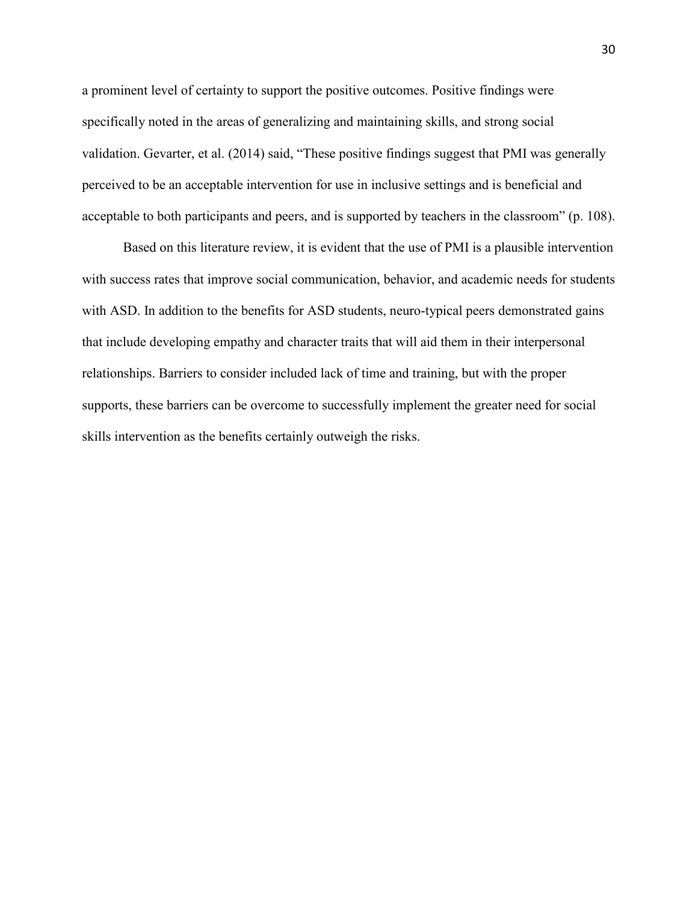a prominent level of certainty to support the positive outcomes. Positive findings were specifically noted in the areas of generalizing and maintaining skills, and strong social validation. Gevarter, et al. (2014) said, "These positive findings suggest that PMI was generally perceived to be an acceptable intervention for use in inclusive settings and is beneficial and acceptable to both participants and peers, and is supported by teachers in the classroom" (p. 108).

Based on this literature review, it is evident that the use of PMI is a plausible intervention with success rates that improve social communication, behavior, and academic needs for students with ASD. In addition to the benefits for ASD students, neuro-typical peers demonstrated gains that include developing empathy and character traits that will aid them in their interpersonal relationships. Barriers to consider included lack of time and training, but with the proper supports, these barriers can be overcome to successfully implement the greater need for social skills intervention as the benefits certainly outweigh the risks.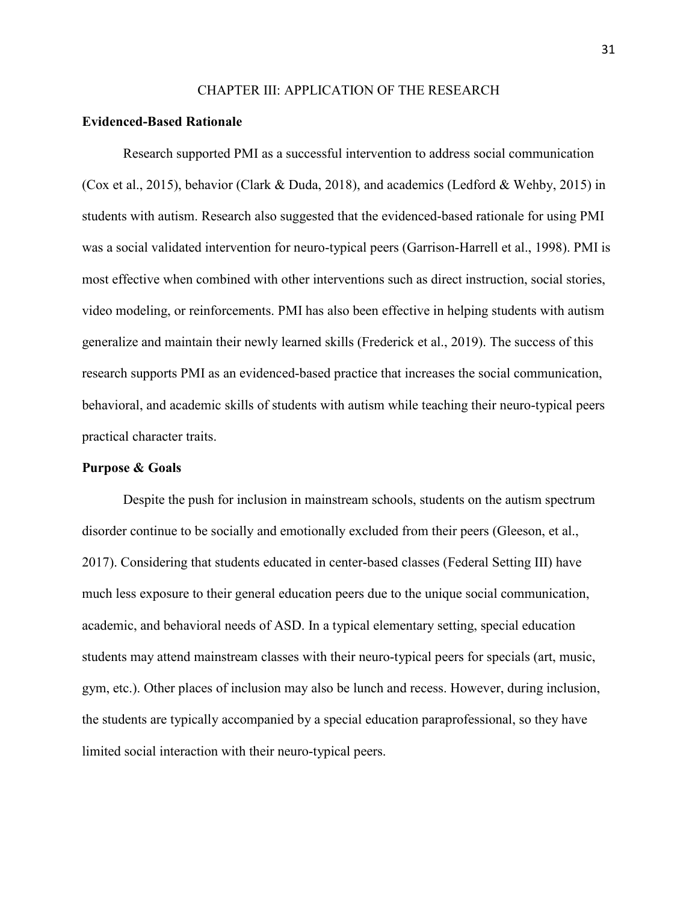#### CHAPTER III: APPLICATION OF THE RESEARCH

#### **Evidenced-Based Rationale**

Research supported PMI as a successful intervention to address social communication (Cox et al., 2015), behavior (Clark & Duda, 2018), and academics (Ledford & Wehby, 2015) in students with autism. Research also suggested that the evidenced-based rationale for using PMI was a social validated intervention for neuro-typical peers (Garrison-Harrell et al., 1998). PMI is most effective when combined with other interventions such as direct instruction, social stories, video modeling, or reinforcements. PMI has also been effective in helping students with autism generalize and maintain their newly learned skills (Frederick et al., 2019). The success of this research supports PMI as an evidenced-based practice that increases the social communication, behavioral, and academic skills of students with autism while teaching their neuro-typical peers practical character traits.

#### **Purpose & Goals**

Despite the push for inclusion in mainstream schools, students on the autism spectrum disorder continue to be socially and emotionally excluded from their peers (Gleeson, et al., 2017). Considering that students educated in center-based classes (Federal Setting III) have much less exposure to their general education peers due to the unique social communication, academic, and behavioral needs of ASD. In a typical elementary setting, special education students may attend mainstream classes with their neuro-typical peers for specials (art, music, gym, etc.). Other places of inclusion may also be lunch and recess. However, during inclusion, the students are typically accompanied by a special education paraprofessional, so they have limited social interaction with their neuro-typical peers.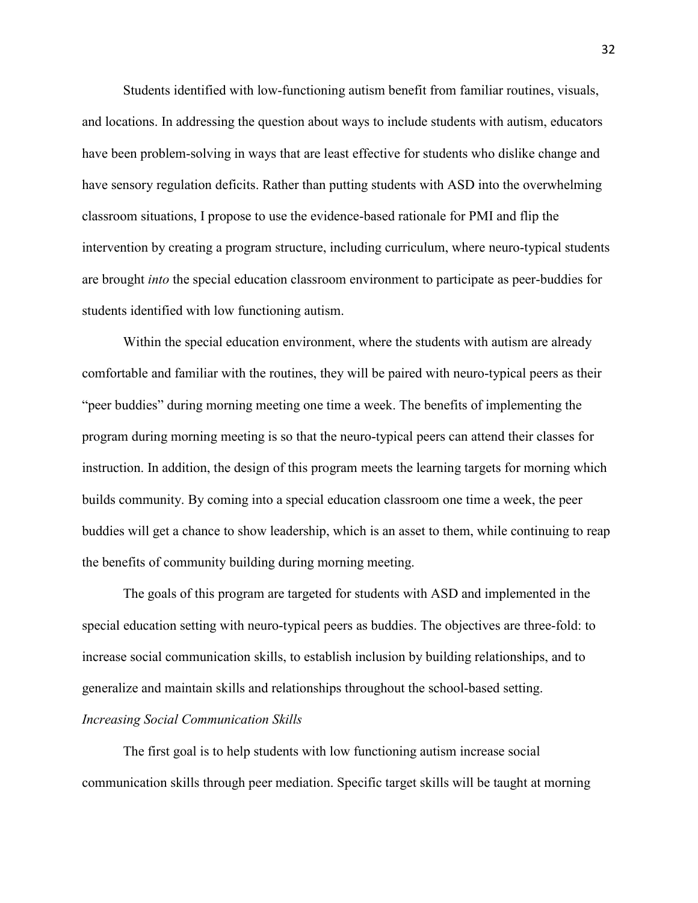Students identified with low-functioning autism benefit from familiar routines, visuals, and locations. In addressing the question about ways to include students with autism, educators have been problem-solving in ways that are least effective for students who dislike change and have sensory regulation deficits. Rather than putting students with ASD into the overwhelming classroom situations, I propose to use the evidence-based rationale for PMI and flip the intervention by creating a program structure, including curriculum, where neuro-typical students are brought *into* the special education classroom environment to participate as peer-buddies for students identified with low functioning autism.

Within the special education environment, where the students with autism are already comfortable and familiar with the routines, they will be paired with neuro-typical peers as their "peer buddies" during morning meeting one time a week. The benefits of implementing the program during morning meeting is so that the neuro-typical peers can attend their classes for instruction. In addition, the design of this program meets the learning targets for morning which builds community. By coming into a special education classroom one time a week, the peer buddies will get a chance to show leadership, which is an asset to them, while continuing to reap the benefits of community building during morning meeting.

The goals of this program are targeted for students with ASD and implemented in the special education setting with neuro-typical peers as buddies. The objectives are three-fold: to increase social communication skills, to establish inclusion by building relationships, and to generalize and maintain skills and relationships throughout the school-based setting.

## *Increasing Social Communication Skills*

The first goal is to help students with low functioning autism increase social communication skills through peer mediation. Specific target skills will be taught at morning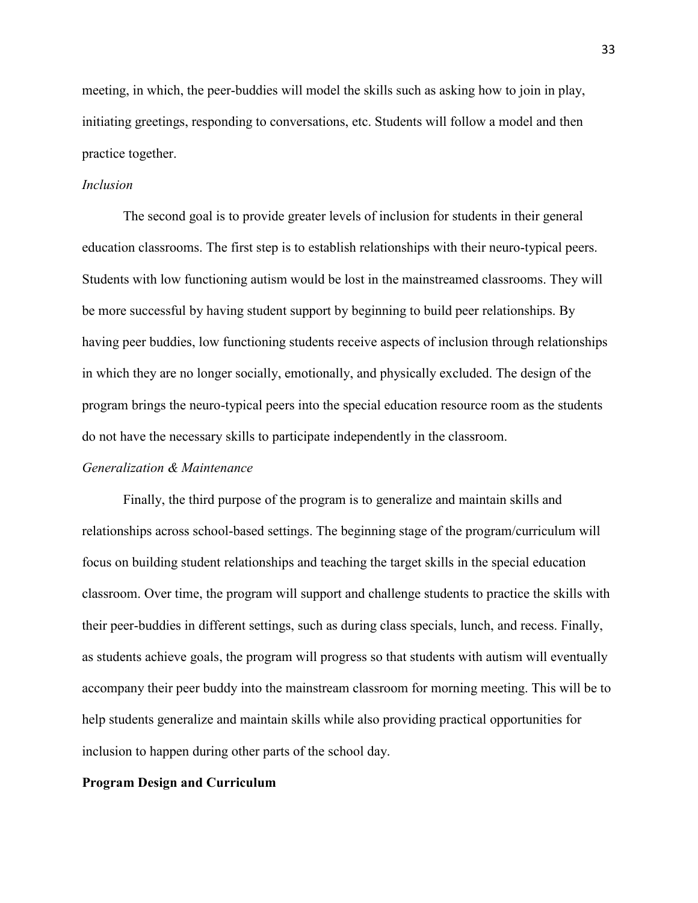meeting, in which, the peer-buddies will model the skills such as asking how to join in play, initiating greetings, responding to conversations, etc. Students will follow a model and then practice together.

#### *Inclusion*

The second goal is to provide greater levels of inclusion for students in their general education classrooms. The first step is to establish relationships with their neuro-typical peers. Students with low functioning autism would be lost in the mainstreamed classrooms. They will be more successful by having student support by beginning to build peer relationships. By having peer buddies, low functioning students receive aspects of inclusion through relationships in which they are no longer socially, emotionally, and physically excluded. The design of the program brings the neuro-typical peers into the special education resource room as the students do not have the necessary skills to participate independently in the classroom.

## *Generalization & Maintenance*

Finally, the third purpose of the program is to generalize and maintain skills and relationships across school-based settings. The beginning stage of the program/curriculum will focus on building student relationships and teaching the target skills in the special education classroom. Over time, the program will support and challenge students to practice the skills with their peer-buddies in different settings, such as during class specials, lunch, and recess. Finally, as students achieve goals, the program will progress so that students with autism will eventually accompany their peer buddy into the mainstream classroom for morning meeting. This will be to help students generalize and maintain skills while also providing practical opportunities for inclusion to happen during other parts of the school day.

#### **Program Design and Curriculum**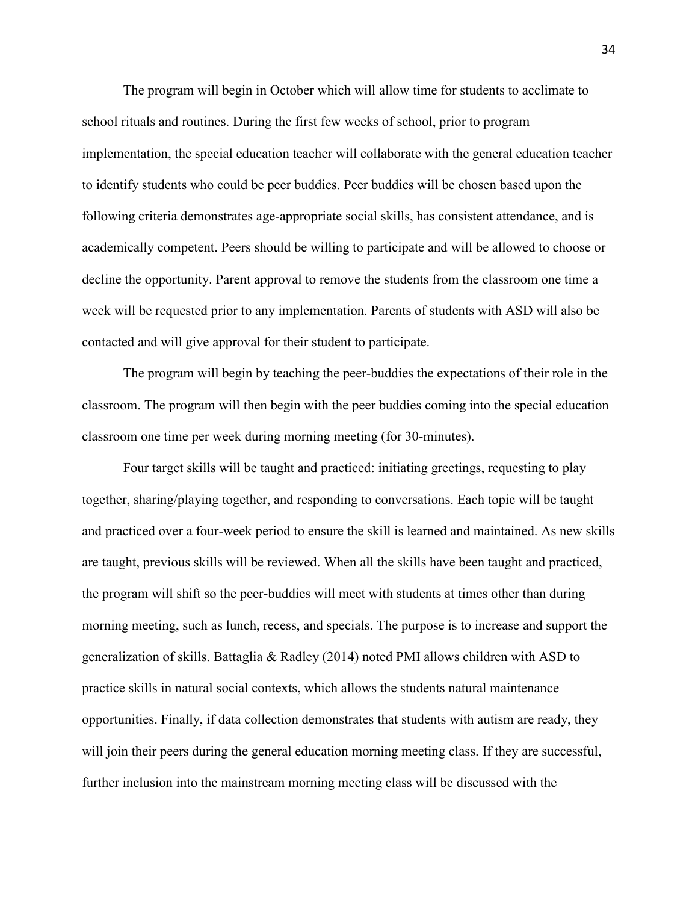The program will begin in October which will allow time for students to acclimate to school rituals and routines. During the first few weeks of school, prior to program implementation, the special education teacher will collaborate with the general education teacher to identify students who could be peer buddies. Peer buddies will be chosen based upon the following criteria demonstrates age-appropriate social skills, has consistent attendance, and is academically competent. Peers should be willing to participate and will be allowed to choose or decline the opportunity. Parent approval to remove the students from the classroom one time a week will be requested prior to any implementation. Parents of students with ASD will also be contacted and will give approval for their student to participate.

The program will begin by teaching the peer-buddies the expectations of their role in the classroom. The program will then begin with the peer buddies coming into the special education classroom one time per week during morning meeting (for 30-minutes).

Four target skills will be taught and practiced: initiating greetings, requesting to play together, sharing/playing together, and responding to conversations. Each topic will be taught and practiced over a four-week period to ensure the skill is learned and maintained. As new skills are taught, previous skills will be reviewed. When all the skills have been taught and practiced, the program will shift so the peer-buddies will meet with students at times other than during morning meeting, such as lunch, recess, and specials. The purpose is to increase and support the generalization of skills. Battaglia & Radley (2014) noted PMI allows children with ASD to practice skills in natural social contexts, which allows the students natural maintenance opportunities. Finally, if data collection demonstrates that students with autism are ready, they will join their peers during the general education morning meeting class. If they are successful, further inclusion into the mainstream morning meeting class will be discussed with the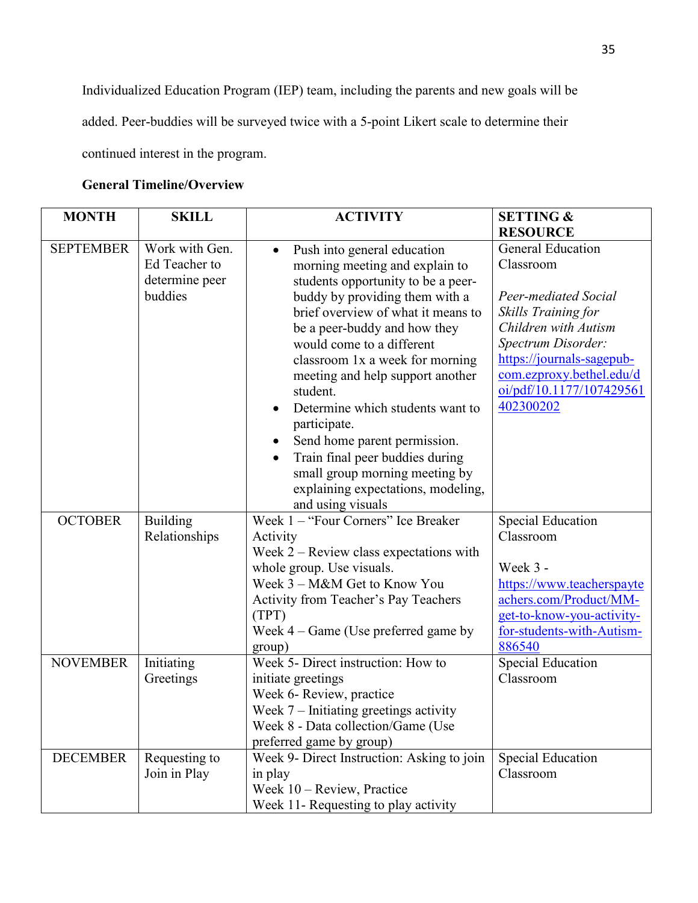Individualized Education Program (IEP) team, including the parents and new goals will be added. Peer-buddies will be surveyed twice with a 5-point Likert scale to determine their continued interest in the program.

# **General Timeline/Overview**

| <b>MONTH</b>     | <b>SKILL</b>    | <b>ACTIVITY</b>                               | <b>SETTING &amp;</b>      |
|------------------|-----------------|-----------------------------------------------|---------------------------|
|                  |                 |                                               | <b>RESOURCE</b>           |
| <b>SEPTEMBER</b> | Work with Gen.  | Push into general education<br>$\bullet$      | <b>General Education</b>  |
|                  | Ed Teacher to   | morning meeting and explain to                | Classroom                 |
|                  | determine peer  | students opportunity to be a peer-            |                           |
|                  | buddies         | buddy by providing them with a                | Peer-mediated Social      |
|                  |                 | brief overview of what it means to            | Skills Training for       |
|                  |                 | be a peer-buddy and how they                  | Children with Autism      |
|                  |                 | would come to a different                     | Spectrum Disorder:        |
|                  |                 | classroom 1x a week for morning               | https://journals-sagepub- |
|                  |                 | meeting and help support another              | com.ezproxy.bethel.edu/d  |
|                  |                 | student.                                      | oi/pdf/10.1177/107429561  |
|                  |                 | Determine which students want to              | 402300202                 |
|                  |                 | participate.                                  |                           |
|                  |                 | Send home parent permission.                  |                           |
|                  |                 | Train final peer buddies during<br>$\bullet$  |                           |
|                  |                 | small group morning meeting by                |                           |
|                  |                 | explaining expectations, modeling,            |                           |
|                  |                 | and using visuals                             |                           |
| <b>OCTOBER</b>   | <b>Building</b> | Week 1 - "Four Corners" Ice Breaker           | <b>Special Education</b>  |
|                  | Relationships   | Activity                                      | Classroom                 |
|                  |                 | Week $2$ – Review class expectations with     |                           |
|                  |                 | whole group. Use visuals.                     | Week 3 -                  |
|                  |                 | Week 3 - M&M Get to Know You                  | https://www.teacherspayte |
|                  |                 | Activity from Teacher's Pay Teachers          | achers.com/Product/MM-    |
|                  |                 | (TPT)                                         | get-to-know-you-activity- |
|                  |                 | Week $4 - \text{Game}$ (Use preferred game by | for-students-with-Autism- |
|                  |                 | group)                                        | 886540                    |
| <b>NOVEMBER</b>  | Initiating      | Week 5- Direct instruction: How to            | <b>Special Education</b>  |
|                  | Greetings       | initiate greetings                            | Classroom                 |
|                  |                 | Week 6- Review, practice                      |                           |
|                  |                 | Week $7$ – Initiating greetings activity      |                           |
|                  |                 | Week 8 - Data collection/Game (Use            |                           |
|                  |                 | preferred game by group)                      |                           |
| <b>DECEMBER</b>  | Requesting to   | Week 9- Direct Instruction: Asking to join    | <b>Special Education</b>  |
|                  | Join in Play    | in play                                       | Classroom                 |
|                  |                 | Week 10 - Review, Practice                    |                           |
|                  |                 | Week 11- Requesting to play activity          |                           |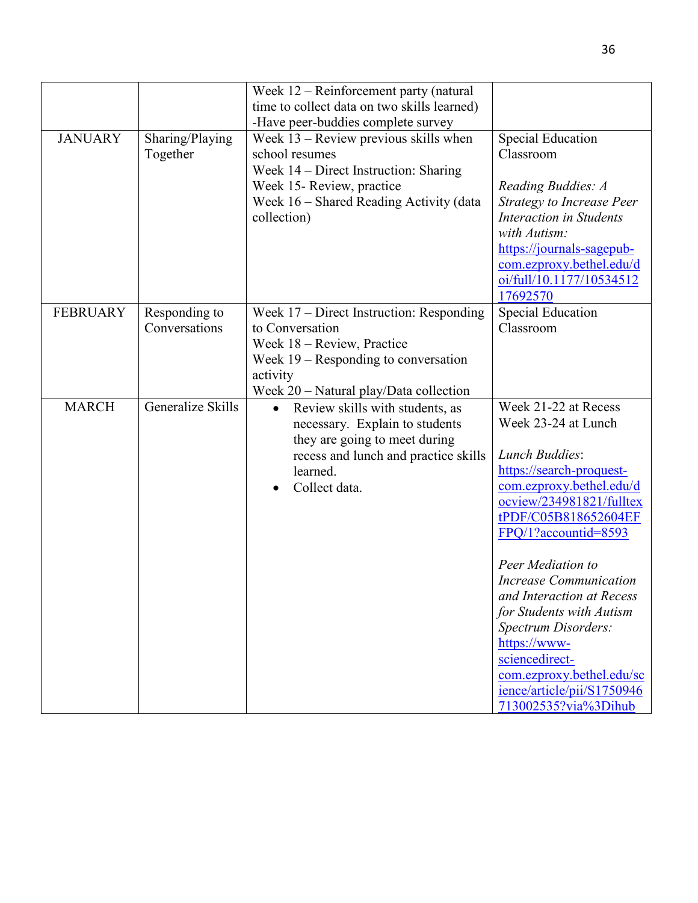|                 |                                | Week $12$ – Reinforcement party (natural<br>time to collect data on two skills learned)                                                                                                                                           |                                                                                                                                                                                                                                                                                                                                                                                                                                                                     |
|-----------------|--------------------------------|-----------------------------------------------------------------------------------------------------------------------------------------------------------------------------------------------------------------------------------|---------------------------------------------------------------------------------------------------------------------------------------------------------------------------------------------------------------------------------------------------------------------------------------------------------------------------------------------------------------------------------------------------------------------------------------------------------------------|
| <b>JANUARY</b>  | Sharing/Playing<br>Together    | -Have peer-buddies complete survey<br>Week $13$ – Review previous skills when<br>school resumes<br>Week $14$ – Direct Instruction: Sharing<br>Week 15- Review, practice<br>Week 16 – Shared Reading Activity (data<br>collection) | <b>Special Education</b><br>Classroom<br>Reading Buddies: A<br><b>Strategy to Increase Peer</b><br><b>Interaction in Students</b><br>with Autism:<br>https://journals-sagepub-<br>com.ezproxy.bethel.edu/d<br>oi/full/10.1177/10534512<br>17692570                                                                                                                                                                                                                  |
| <b>FEBRUARY</b> | Responding to<br>Conversations | Week 17 – Direct Instruction: Responding<br>to Conversation<br>Week 18 - Review, Practice<br>Week $19$ – Responding to conversation<br>activity<br>Week $20$ – Natural play/Data collection                                       | <b>Special Education</b><br>Classroom                                                                                                                                                                                                                                                                                                                                                                                                                               |
| <b>MARCH</b>    | Generalize Skills              | Review skills with students, as<br>$\bullet$<br>necessary. Explain to students<br>they are going to meet during<br>recess and lunch and practice skills<br>learned.<br>Collect data.                                              | Week 21-22 at Recess<br>Week 23-24 at Lunch<br><b>Lunch Buddies:</b><br>https://search-proquest-<br>com.ezproxy.bethel.edu/d<br>ocview/234981821/fulltex<br>tPDF/C05B818652604EF<br>FPQ/1?accountid=8593<br>Peer Mediation to<br><b>Increase Communication</b><br>and Interaction at Recess<br>for Students with Autism<br>Spectrum Disorders:<br>https://www-<br>sciencedirect-<br>com.ezproxy.bethel.edu/sc<br>ience/article/pii/S1750946<br>713002535?via%3Dihub |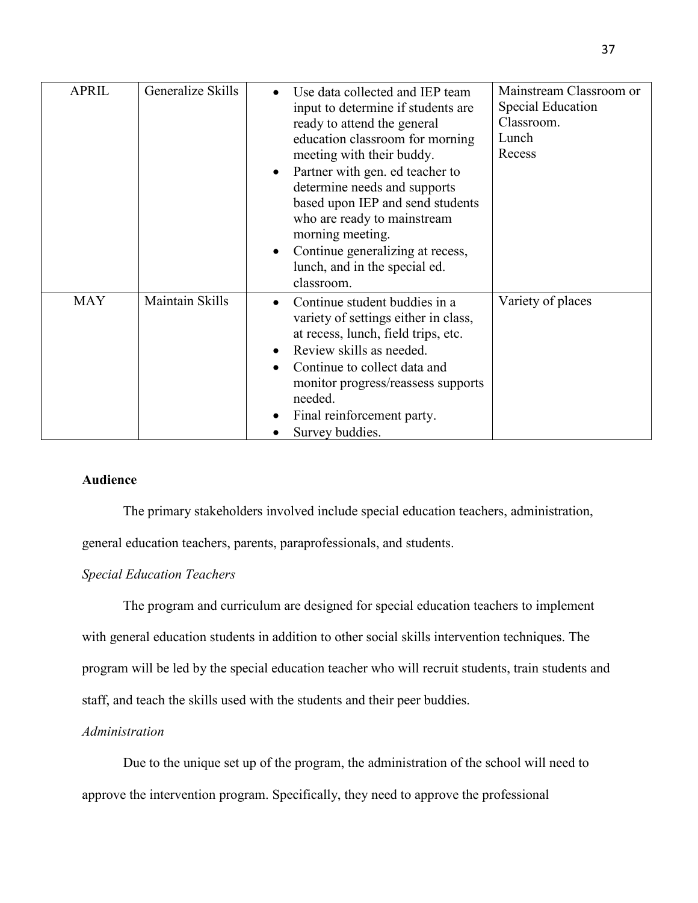| <b>APRIL</b> | Generalize Skills | Use data collected and IEP team<br>$\bullet$<br>input to determine if students are<br>ready to attend the general<br>education classroom for morning<br>meeting with their buddy.<br>Partner with gen. ed teacher to<br>determine needs and supports<br>based upon IEP and send students<br>who are ready to mainstream<br>morning meeting.<br>Continue generalizing at recess,<br>$\bullet$<br>lunch, and in the special ed.<br>classroom. | Mainstream Classroom or<br>Special Education<br>Classroom.<br>Lunch<br>Recess |
|--------------|-------------------|---------------------------------------------------------------------------------------------------------------------------------------------------------------------------------------------------------------------------------------------------------------------------------------------------------------------------------------------------------------------------------------------------------------------------------------------|-------------------------------------------------------------------------------|
| <b>MAY</b>   | Maintain Skills   | Continue student buddies in a<br>variety of settings either in class,<br>at recess, lunch, field trips, etc.<br>Review skills as needed.<br>$\bullet$<br>Continue to collect data and<br>monitor progress/reassess supports<br>needed.<br>Final reinforcement party.<br>Survey buddies.                                                                                                                                                     | Variety of places                                                             |

## **Audience**

The primary stakeholders involved include special education teachers, administration,

general education teachers, parents, paraprofessionals, and students.

## *Special Education Teachers*

The program and curriculum are designed for special education teachers to implement with general education students in addition to other social skills intervention techniques. The program will be led by the special education teacher who will recruit students, train students and staff, and teach the skills used with the students and their peer buddies.

#### *Administration*

 Due to the unique set up of the program, the administration of the school will need to approve the intervention program. Specifically, they need to approve the professional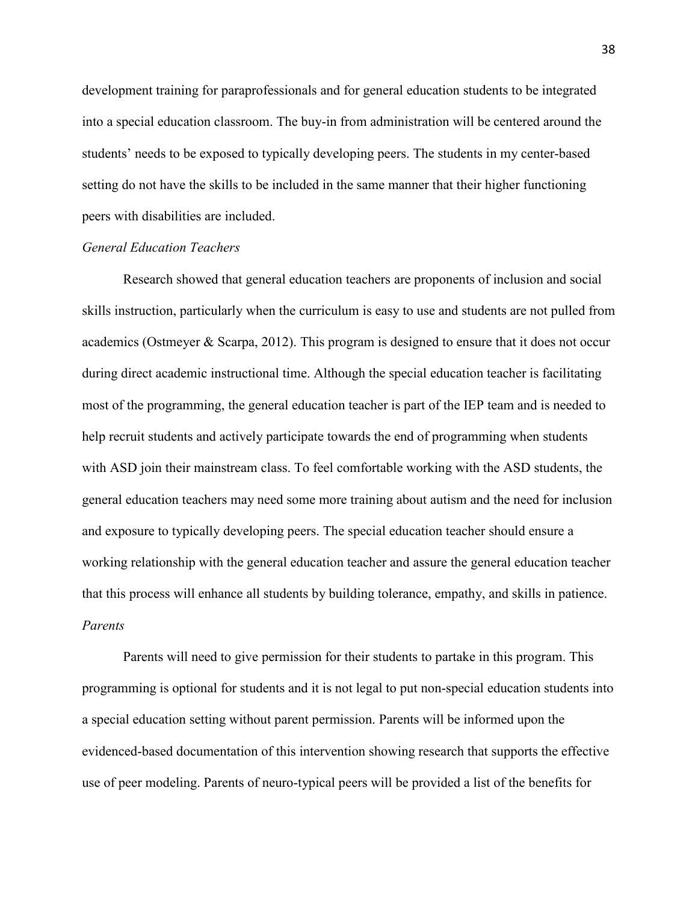development training for paraprofessionals and for general education students to be integrated into a special education classroom. The buy-in from administration will be centered around the students' needs to be exposed to typically developing peers. The students in my center-based setting do not have the skills to be included in the same manner that their higher functioning peers with disabilities are included.

#### *General Education Teachers*

 Research showed that general education teachers are proponents of inclusion and social skills instruction, particularly when the curriculum is easy to use and students are not pulled from academics (Ostmeyer  $\&$  Scarpa, 2012). This program is designed to ensure that it does not occur during direct academic instructional time. Although the special education teacher is facilitating most of the programming, the general education teacher is part of the IEP team and is needed to help recruit students and actively participate towards the end of programming when students with ASD join their mainstream class. To feel comfortable working with the ASD students, the general education teachers may need some more training about autism and the need for inclusion and exposure to typically developing peers. The special education teacher should ensure a working relationship with the general education teacher and assure the general education teacher that this process will enhance all students by building tolerance, empathy, and skills in patience. *Parents* 

 Parents will need to give permission for their students to partake in this program. This programming is optional for students and it is not legal to put non-special education students into a special education setting without parent permission. Parents will be informed upon the evidenced-based documentation of this intervention showing research that supports the effective use of peer modeling. Parents of neuro-typical peers will be provided a list of the benefits for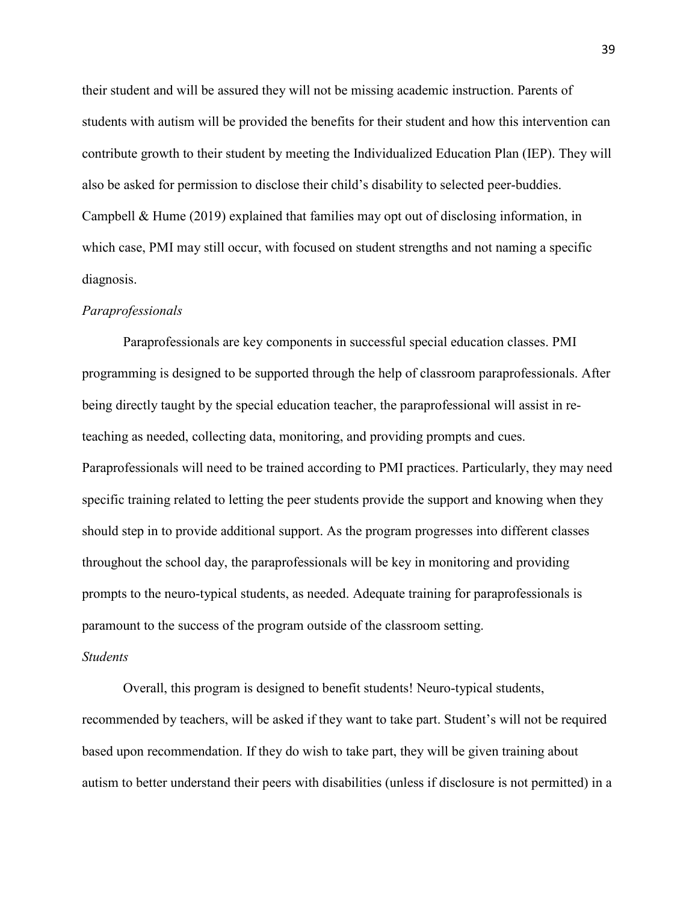their student and will be assured they will not be missing academic instruction. Parents of students with autism will be provided the benefits for their student and how this intervention can contribute growth to their student by meeting the Individualized Education Plan (IEP). They will also be asked for permission to disclose their child's disability to selected peer-buddies. Campbell & Hume (2019) explained that families may opt out of disclosing information, in which case, PMI may still occur, with focused on student strengths and not naming a specific diagnosis.

#### *Paraprofessionals*

 Paraprofessionals are key components in successful special education classes. PMI programming is designed to be supported through the help of classroom paraprofessionals. After being directly taught by the special education teacher, the paraprofessional will assist in reteaching as needed, collecting data, monitoring, and providing prompts and cues. Paraprofessionals will need to be trained according to PMI practices. Particularly, they may need specific training related to letting the peer students provide the support and knowing when they should step in to provide additional support. As the program progresses into different classes throughout the school day, the paraprofessionals will be key in monitoring and providing prompts to the neuro-typical students, as needed. Adequate training for paraprofessionals is paramount to the success of the program outside of the classroom setting.

#### *Students*

 Overall, this program is designed to benefit students! Neuro-typical students, recommended by teachers, will be asked if they want to take part. Student's will not be required based upon recommendation. If they do wish to take part, they will be given training about autism to better understand their peers with disabilities (unless if disclosure is not permitted) in a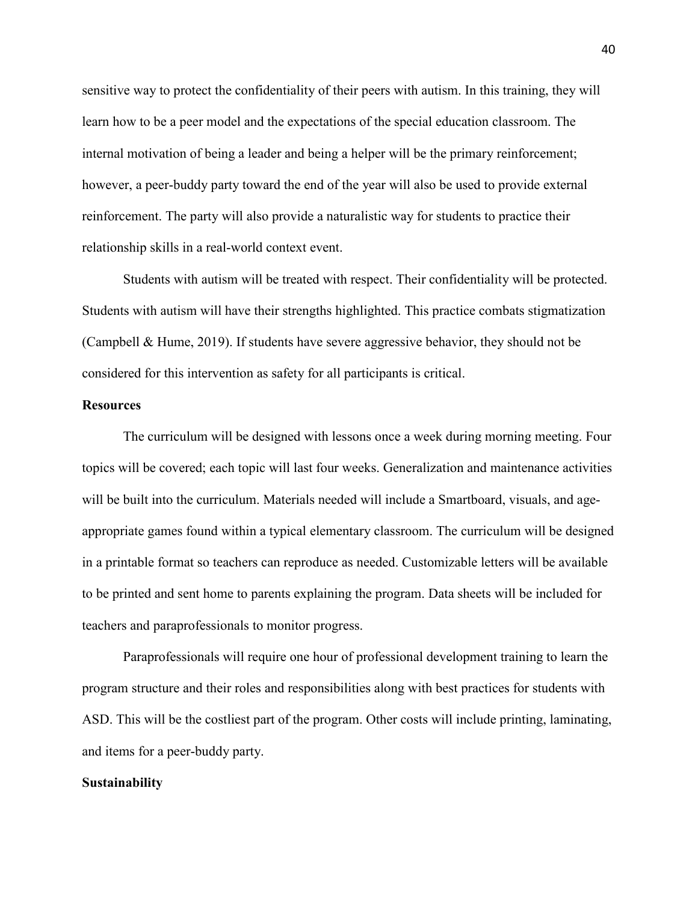sensitive way to protect the confidentiality of their peers with autism. In this training, they will learn how to be a peer model and the expectations of the special education classroom. The internal motivation of being a leader and being a helper will be the primary reinforcement; however, a peer-buddy party toward the end of the year will also be used to provide external reinforcement. The party will also provide a naturalistic way for students to practice their relationship skills in a real-world context event.

Students with autism will be treated with respect. Their confidentiality will be protected. Students with autism will have their strengths highlighted. This practice combats stigmatization (Campbell & Hume, 2019). If students have severe aggressive behavior, they should not be considered for this intervention as safety for all participants is critical.

#### **Resources**

The curriculum will be designed with lessons once a week during morning meeting. Four topics will be covered; each topic will last four weeks. Generalization and maintenance activities will be built into the curriculum. Materials needed will include a Smartboard, visuals, and ageappropriate games found within a typical elementary classroom. The curriculum will be designed in a printable format so teachers can reproduce as needed. Customizable letters will be available to be printed and sent home to parents explaining the program. Data sheets will be included for teachers and paraprofessionals to monitor progress.

 Paraprofessionals will require one hour of professional development training to learn the program structure and their roles and responsibilities along with best practices for students with ASD. This will be the costliest part of the program. Other costs will include printing, laminating, and items for a peer-buddy party.

#### **Sustainability**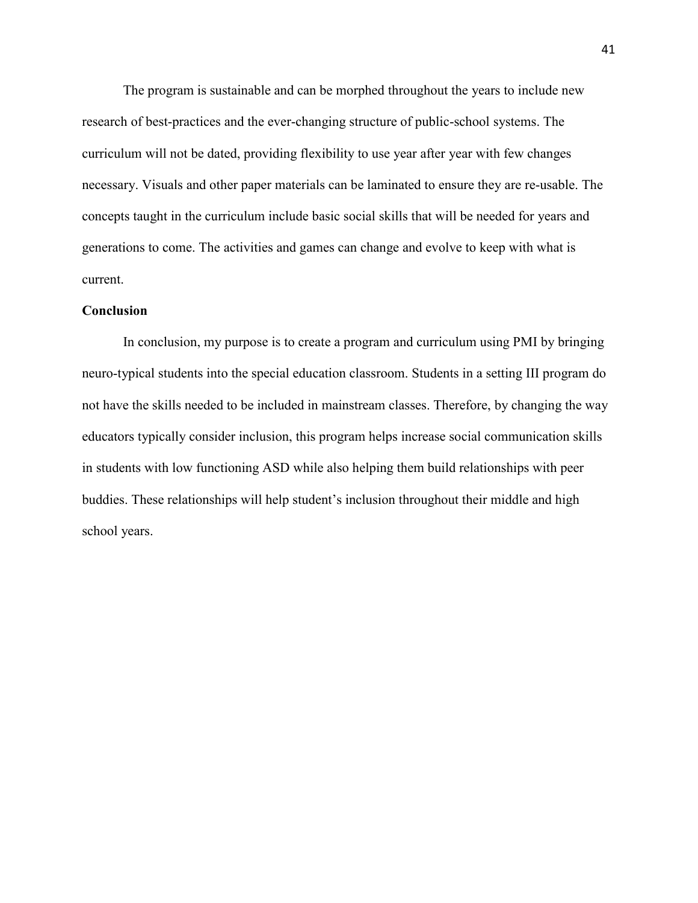The program is sustainable and can be morphed throughout the years to include new research of best-practices and the ever-changing structure of public-school systems. The curriculum will not be dated, providing flexibility to use year after year with few changes necessary. Visuals and other paper materials can be laminated to ensure they are re-usable. The concepts taught in the curriculum include basic social skills that will be needed for years and generations to come. The activities and games can change and evolve to keep with what is current.

#### **Conclusion**

 In conclusion, my purpose is to create a program and curriculum using PMI by bringing neuro-typical students into the special education classroom. Students in a setting III program do not have the skills needed to be included in mainstream classes. Therefore, by changing the way educators typically consider inclusion, this program helps increase social communication skills in students with low functioning ASD while also helping them build relationships with peer buddies. These relationships will help student's inclusion throughout their middle and high school years.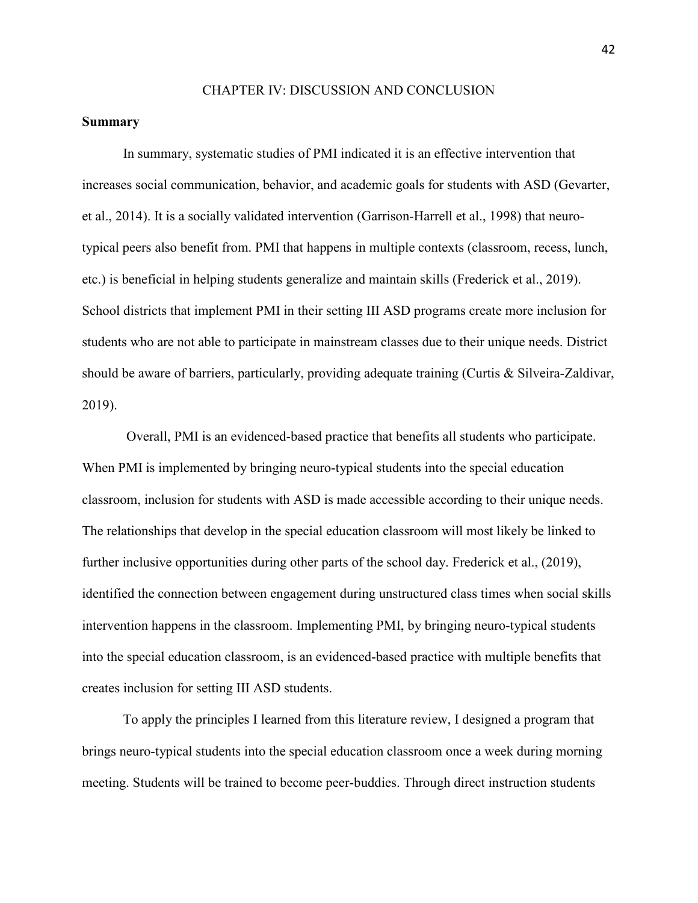#### CHAPTER IV: DISCUSSION AND CONCLUSION

#### **Summary**

In summary, systematic studies of PMI indicated it is an effective intervention that increases social communication, behavior, and academic goals for students with ASD (Gevarter, et al., 2014). It is a socially validated intervention (Garrison-Harrell et al., 1998) that neurotypical peers also benefit from. PMI that happens in multiple contexts (classroom, recess, lunch, etc.) is beneficial in helping students generalize and maintain skills (Frederick et al., 2019). School districts that implement PMI in their setting III ASD programs create more inclusion for students who are not able to participate in mainstream classes due to their unique needs. District should be aware of barriers, particularly, providing adequate training (Curtis & Silveira-Zaldivar, 2019).

Overall, PMI is an evidenced-based practice that benefits all students who participate. When PMI is implemented by bringing neuro-typical students into the special education classroom, inclusion for students with ASD is made accessible according to their unique needs. The relationships that develop in the special education classroom will most likely be linked to further inclusive opportunities during other parts of the school day. Frederick et al., (2019), identified the connection between engagement during unstructured class times when social skills intervention happens in the classroom. Implementing PMI, by bringing neuro-typical students into the special education classroom, is an evidenced-based practice with multiple benefits that creates inclusion for setting III ASD students.

To apply the principles I learned from this literature review, I designed a program that brings neuro-typical students into the special education classroom once a week during morning meeting. Students will be trained to become peer-buddies. Through direct instruction students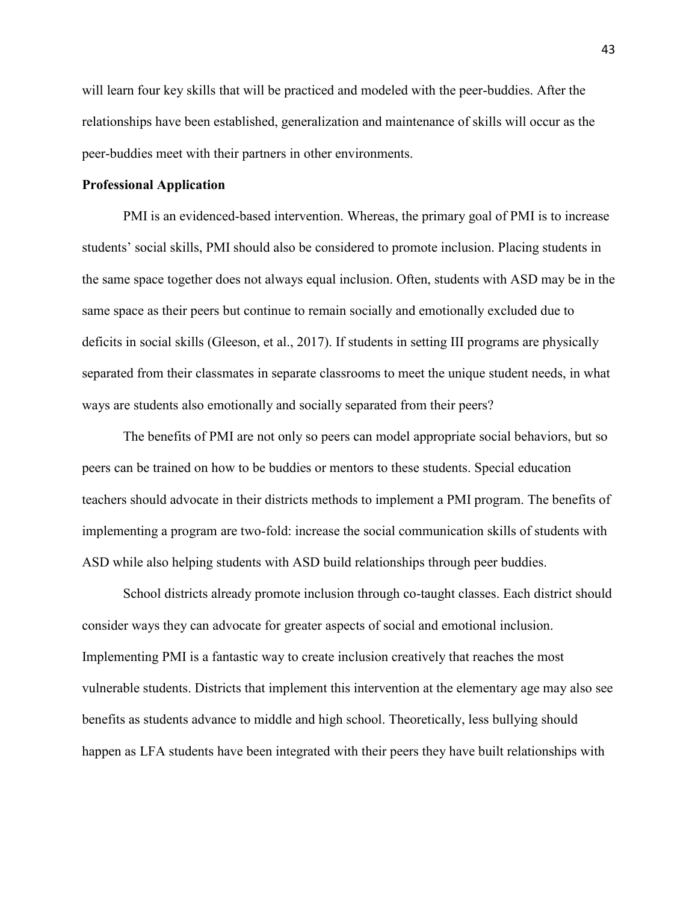will learn four key skills that will be practiced and modeled with the peer-buddies. After the relationships have been established, generalization and maintenance of skills will occur as the peer-buddies meet with their partners in other environments.

#### **Professional Application**

PMI is an evidenced-based intervention. Whereas, the primary goal of PMI is to increase students' social skills, PMI should also be considered to promote inclusion. Placing students in the same space together does not always equal inclusion. Often, students with ASD may be in the same space as their peers but continue to remain socially and emotionally excluded due to deficits in social skills (Gleeson, et al., 2017). If students in setting III programs are physically separated from their classmates in separate classrooms to meet the unique student needs, in what ways are students also emotionally and socially separated from their peers?

The benefits of PMI are not only so peers can model appropriate social behaviors, but so peers can be trained on how to be buddies or mentors to these students. Special education teachers should advocate in their districts methods to implement a PMI program. The benefits of implementing a program are two-fold: increase the social communication skills of students with ASD while also helping students with ASD build relationships through peer buddies.

School districts already promote inclusion through co-taught classes. Each district should consider ways they can advocate for greater aspects of social and emotional inclusion. Implementing PMI is a fantastic way to create inclusion creatively that reaches the most vulnerable students. Districts that implement this intervention at the elementary age may also see benefits as students advance to middle and high school. Theoretically, less bullying should happen as LFA students have been integrated with their peers they have built relationships with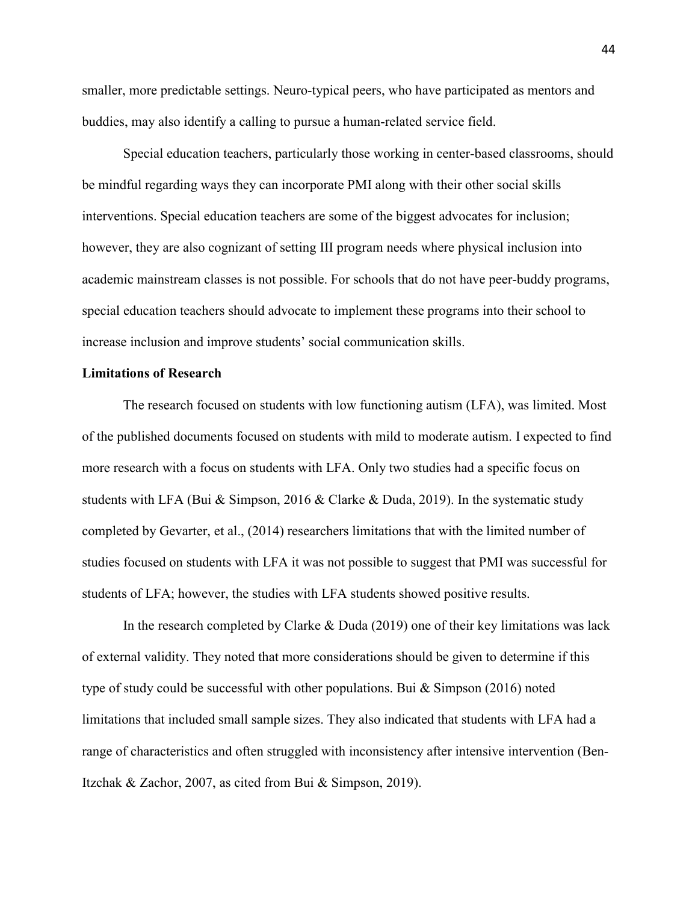smaller, more predictable settings. Neuro-typical peers, who have participated as mentors and buddies, may also identify a calling to pursue a human-related service field.

Special education teachers, particularly those working in center-based classrooms, should be mindful regarding ways they can incorporate PMI along with their other social skills interventions. Special education teachers are some of the biggest advocates for inclusion; however, they are also cognizant of setting III program needs where physical inclusion into academic mainstream classes is not possible. For schools that do not have peer-buddy programs, special education teachers should advocate to implement these programs into their school to increase inclusion and improve students' social communication skills.

#### **Limitations of Research**

The research focused on students with low functioning autism (LFA), was limited. Most of the published documents focused on students with mild to moderate autism. I expected to find more research with a focus on students with LFA. Only two studies had a specific focus on students with LFA (Bui & Simpson, 2016 & Clarke & Duda, 2019). In the systematic study completed by Gevarter, et al., (2014) researchers limitations that with the limited number of studies focused on students with LFA it was not possible to suggest that PMI was successful for students of LFA; however, the studies with LFA students showed positive results.

In the research completed by Clarke & Duda (2019) one of their key limitations was lack of external validity. They noted that more considerations should be given to determine if this type of study could be successful with other populations. Bui  $\&$  Simpson (2016) noted limitations that included small sample sizes. They also indicated that students with LFA had a range of characteristics and often struggled with inconsistency after intensive intervention (Ben-Itzchak & Zachor, 2007, as cited from Bui & Simpson, 2019).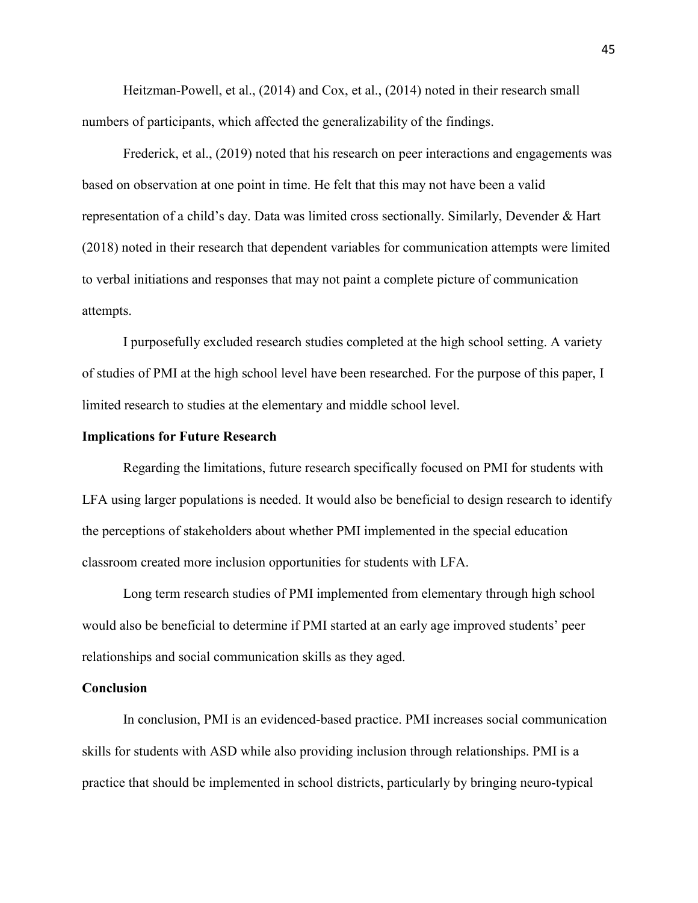Heitzman-Powell, et al., (2014) and Cox, et al., (2014) noted in their research small numbers of participants, which affected the generalizability of the findings.

Frederick, et al., (2019) noted that his research on peer interactions and engagements was based on observation at one point in time. He felt that this may not have been a valid representation of a child's day. Data was limited cross sectionally. Similarly, Devender & Hart (2018) noted in their research that dependent variables for communication attempts were limited to verbal initiations and responses that may not paint a complete picture of communication attempts.

 I purposefully excluded research studies completed at the high school setting. A variety of studies of PMI at the high school level have been researched. For the purpose of this paper, I limited research to studies at the elementary and middle school level.

#### **Implications for Future Research**

Regarding the limitations, future research specifically focused on PMI for students with LFA using larger populations is needed. It would also be beneficial to design research to identify the perceptions of stakeholders about whether PMI implemented in the special education classroom created more inclusion opportunities for students with LFA.

Long term research studies of PMI implemented from elementary through high school would also be beneficial to determine if PMI started at an early age improved students' peer relationships and social communication skills as they aged.

#### **Conclusion**

In conclusion, PMI is an evidenced-based practice. PMI increases social communication skills for students with ASD while also providing inclusion through relationships. PMI is a practice that should be implemented in school districts, particularly by bringing neuro-typical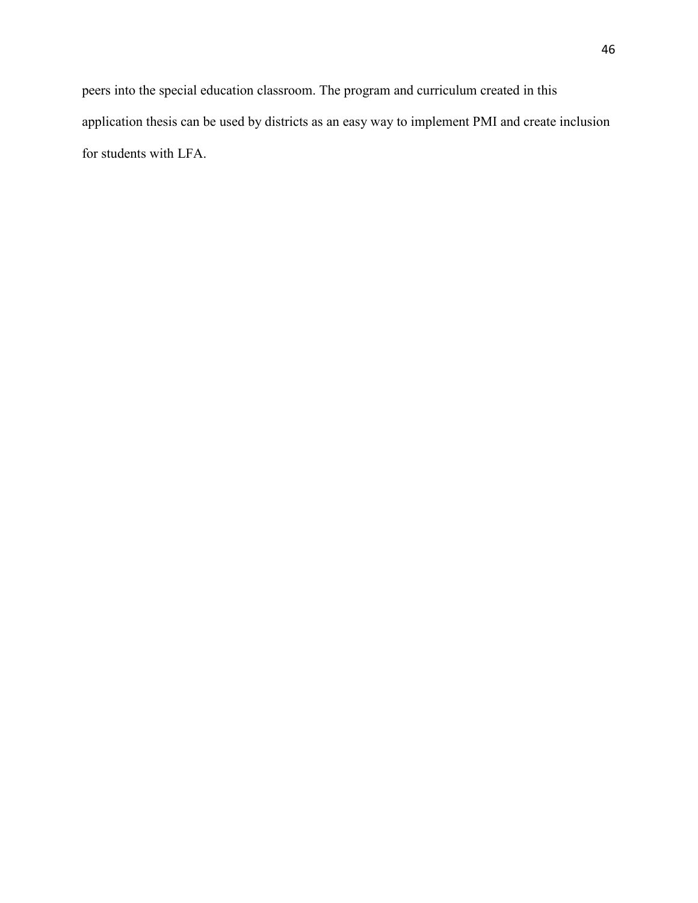peers into the special education classroom. The program and curriculum created in this application thesis can be used by districts as an easy way to implement PMI and create inclusion for students with LFA.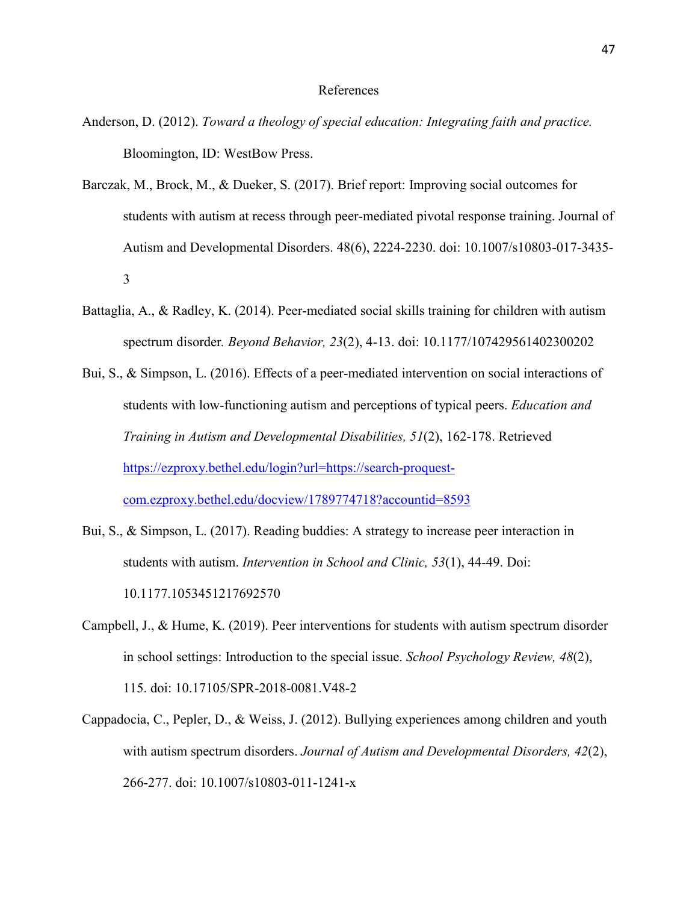#### References

- Anderson, D. (2012). *Toward a theology of special education: Integrating faith and practice.* Bloomington, ID: WestBow Press.
- Barczak, M., Brock, M., & Dueker, S. (2017). Brief report: Improving social outcomes for students with autism at recess through peer-mediated pivotal response training. Journal of Autism and Developmental Disorders. 48(6), 2224-2230. doi: 10.1007/s10803-017-3435- 3
- Battaglia, A., & Radley, K. (2014). Peer-mediated social skills training for children with autism spectrum disorder*. Beyond Behavior, 23*(2), 4-13. doi: 10.1177/107429561402300202
- Bui, S., & Simpson, L. (2016). Effects of a peer-mediated intervention on social interactions of students with low-functioning autism and perceptions of typical peers. *Education and Training in Autism and Developmental Disabilities, 51*(2), 162-178. Retrieved [https://ezproxy.bethel.edu/login?url=https://search-proquest](https://ezproxy.bethel.edu/login?url=https://search-proquest-com.ezproxy.bethel.edu/docview/1789774718?accountid=8593)[com.ezproxy.bethel.edu/docview/1789774718?accountid=8593](https://ezproxy.bethel.edu/login?url=https://search-proquest-com.ezproxy.bethel.edu/docview/1789774718?accountid=8593)
- Bui, S., & Simpson, L. (2017). Reading buddies: A strategy to increase peer interaction in students with autism. *Intervention in School and Clinic, 53*(1), 44-49. Doi: 10.1177.1053451217692570
- Campbell, J., & Hume, K. (2019). Peer interventions for students with autism spectrum disorder in school settings: Introduction to the special issue. *School Psychology Review, 48*(2), 115. doi: 10.17105/SPR-2018-0081.V48-2
- Cappadocia, C., Pepler, D., & Weiss, J. (2012). Bullying experiences among children and youth with autism spectrum disorders. *Journal of Autism and Developmental Disorders, 42*(2), 266-277. doi: 10.1007/s10803-011-1241-x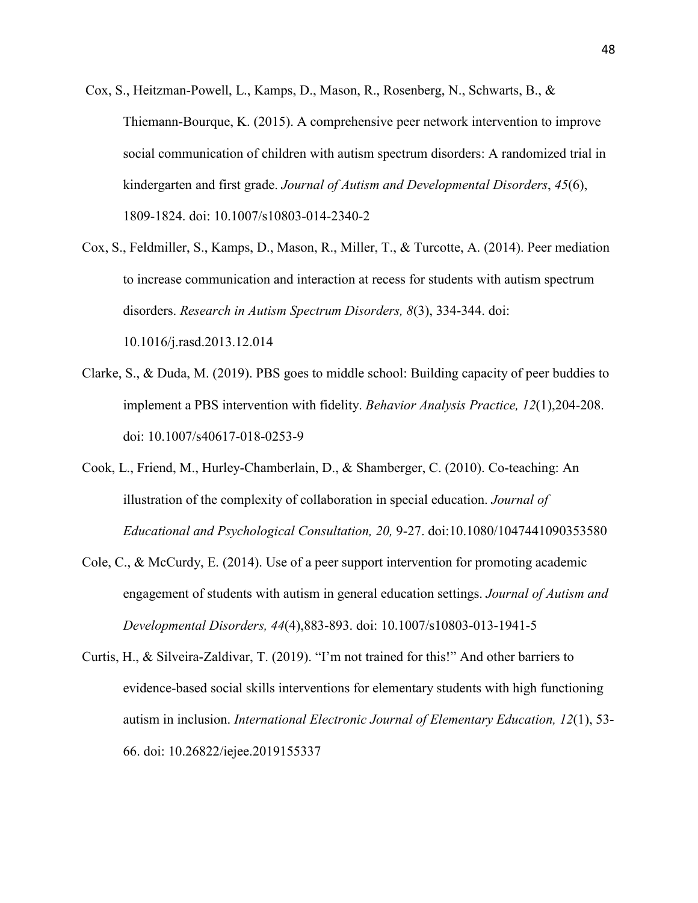- Cox, S., Heitzman-Powell, L., Kamps, D., Mason, R., Rosenberg, N., Schwarts, B., & Thiemann-Bourque, K. (2015). A comprehensive peer network intervention to improve social communication of children with autism spectrum disorders: A randomized trial in kindergarten and first grade. *Journal of Autism and Developmental Disorders*, *45*(6), 1809-1824. doi: 10.1007/s10803-014-2340-2
- Cox, S., Feldmiller, S., Kamps, D., Mason, R., Miller, T., & Turcotte, A. (2014). Peer mediation to increase communication and interaction at recess for students with autism spectrum disorders. *Research in Autism Spectrum Disorders, 8*(3), 334-344. doi: 10.1016/j.rasd.2013.12.014
- Clarke, S., & Duda, M. (2019). PBS goes to middle school: Building capacity of peer buddies to implement a PBS intervention with fidelity. *Behavior Analysis Practice, 12*(1),204-208. doi: 10.1007/s40617-018-0253-9
- Cook, L., Friend, M., Hurley-Chamberlain, D., & Shamberger, C. (2010). Co-teaching: An illustration of the complexity of collaboration in special education. *Journal of Educational and Psychological Consultation, 20,* 9-27. doi:10.1080/1047441090353580
- Cole, C., & McCurdy, E. (2014). Use of a peer support intervention for promoting academic engagement of students with autism in general education settings. *Journal of Autism and Developmental Disorders, 44*(4),883-893. doi: 10.1007/s10803-013-1941-5
- Curtis, H., & Silveira-Zaldivar, T. (2019). "I'm not trained for this!" And other barriers to evidence-based social skills interventions for elementary students with high functioning autism in inclusion. *International Electronic Journal of Elementary Education, 12*(1), 53- 66. doi: 10.26822/iejee.2019155337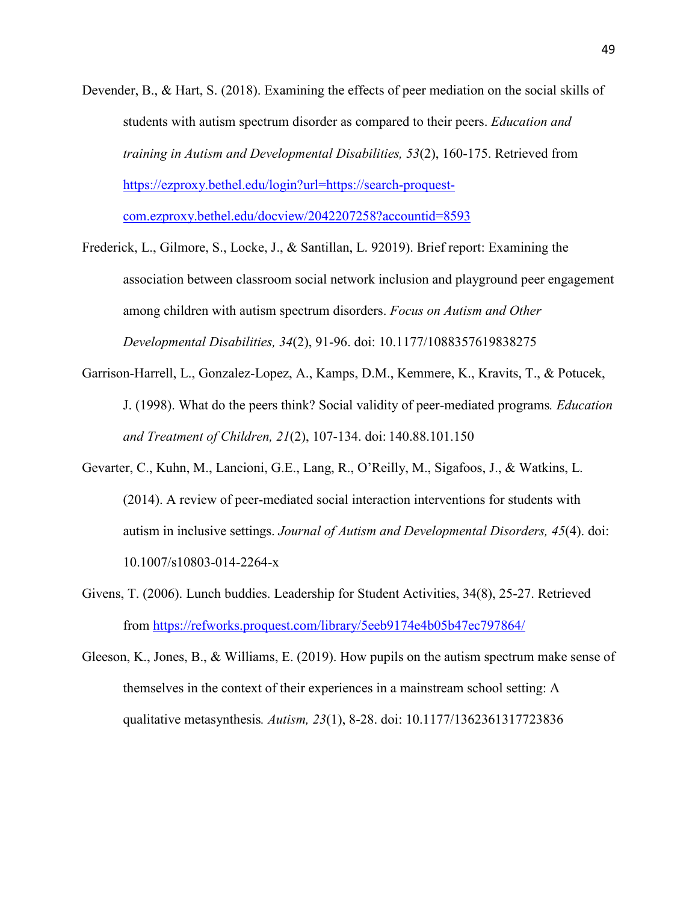- Devender, B., & Hart, S. (2018). Examining the effects of peer mediation on the social skills of students with autism spectrum disorder as compared to their peers. *Education and training in Autism and Developmental Disabilities, 53*(2), 160-175. Retrieved from [https://ezproxy.bethel.edu/login?url=https://search-proquest](https://ezproxy.bethel.edu/login?url=https://search-proquest-com.ezproxy.bethel.edu/docview/2042207258?accountid=8593)[com.ezproxy.bethel.edu/docview/2042207258?accountid=8593](https://ezproxy.bethel.edu/login?url=https://search-proquest-com.ezproxy.bethel.edu/docview/2042207258?accountid=8593)
- Frederick, L., Gilmore, S., Locke, J., & Santillan, L. 92019). Brief report: Examining the association between classroom social network inclusion and playground peer engagement among children with autism spectrum disorders. *Focus on Autism and Other Developmental Disabilities, 34*(2), 91-96. doi: 10.1177/1088357619838275
- Garrison-Harrell, L., Gonzalez-Lopez, A., Kamps, D.M., Kemmere, K., Kravits, T., & Potucek, J. (1998). What do the peers think? Social validity of peer-mediated programs*. Education and Treatment of Children, 21*(2), 107-134. doi: 140.88.101.150
- Gevarter, C., Kuhn, M., Lancioni, G.E., Lang, R., O'Reilly, M., Sigafoos, J., & Watkins, L. (2014). A review of peer-mediated social interaction interventions for students with autism in inclusive settings. *Journal of Autism and Developmental Disorders, 45*(4). doi: 10.1007/s10803-014-2264-x
- Givens, T. (2006). Lunch buddies. Leadership for Student Activities, 34(8), 25-27. Retrieved from<https://refworks.proquest.com/library/5eeb9174e4b05b47ec797864/>
- Gleeson, K., Jones, B., & Williams, E. (2019). How pupils on the autism spectrum make sense of themselves in the context of their experiences in a mainstream school setting: A qualitative metasynthesis*. Autism, 23*(1), 8-28. doi: 10.1177/1362361317723836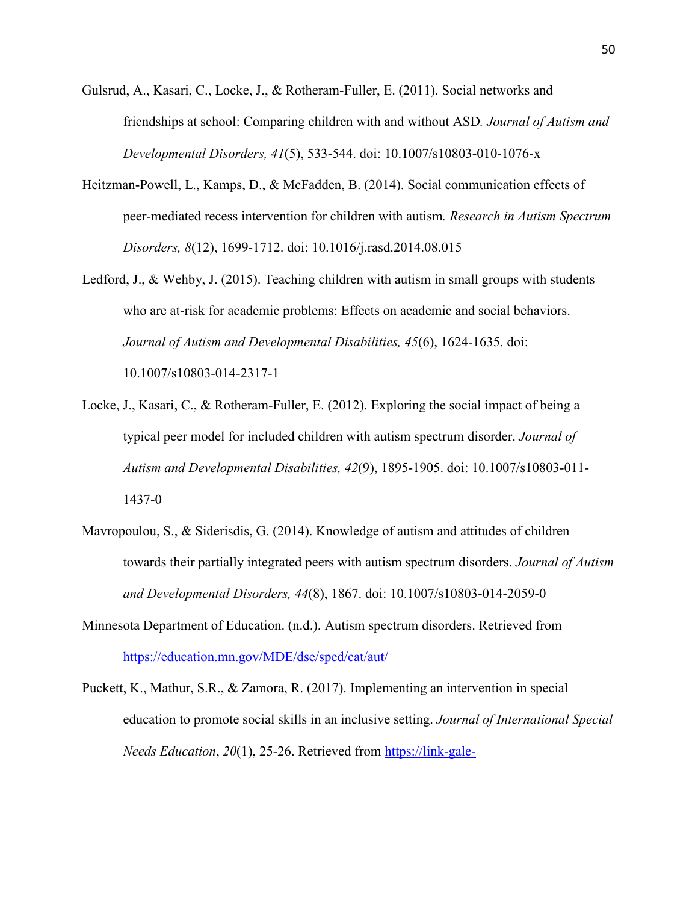- Gulsrud, A., Kasari, C., Locke, J., & Rotheram-Fuller, E. (2011). Social networks and friendships at school: Comparing children with and without ASD*. Journal of Autism and Developmental Disorders, 41*(5), 533-544. doi: 10.1007/s10803-010-1076-x
- Heitzman-Powell, L., Kamps, D., & McFadden, B. (2014). Social communication effects of peer-mediated recess intervention for children with autism*. Research in Autism Spectrum Disorders, 8*(12), 1699-1712. doi: 10.1016/j.rasd.2014.08.015
- Ledford, J., & Wehby, J. (2015). Teaching children with autism in small groups with students who are at-risk for academic problems: Effects on academic and social behaviors. *Journal of Autism and Developmental Disabilities, 45*(6), 1624-1635. doi: 10.1007/s10803-014-2317-1
- Locke, J., Kasari, C., & Rotheram-Fuller, E. (2012). Exploring the social impact of being a typical peer model for included children with autism spectrum disorder. *Journal of Autism and Developmental Disabilities, 42*(9), 1895-1905. doi: 10.1007/s10803-011- 1437-0
- Mavropoulou, S., & Siderisdis, G. (2014). Knowledge of autism and attitudes of children towards their partially integrated peers with autism spectrum disorders. *Journal of Autism and Developmental Disorders, 44*(8), 1867. doi: 10.1007/s10803-014-2059-0
- Minnesota Department of Education. (n.d.). Autism spectrum disorders. Retrieved from <https://education.mn.gov/MDE/dse/sped/cat/aut/>
- Puckett, K., Mathur, S.R., & Zamora, R. (2017). Implementing an intervention in special education to promote social skills in an inclusive setting. *Journal of International Special Needs Education, 20*(1), 25-26. Retrieved from [https://link-gale-](https://link-gale-com.ezproxy.bethel.edu/apps/doc/A558922294/PROF?u=clic_bethel&sid=PROF&xid=d7aa19dc)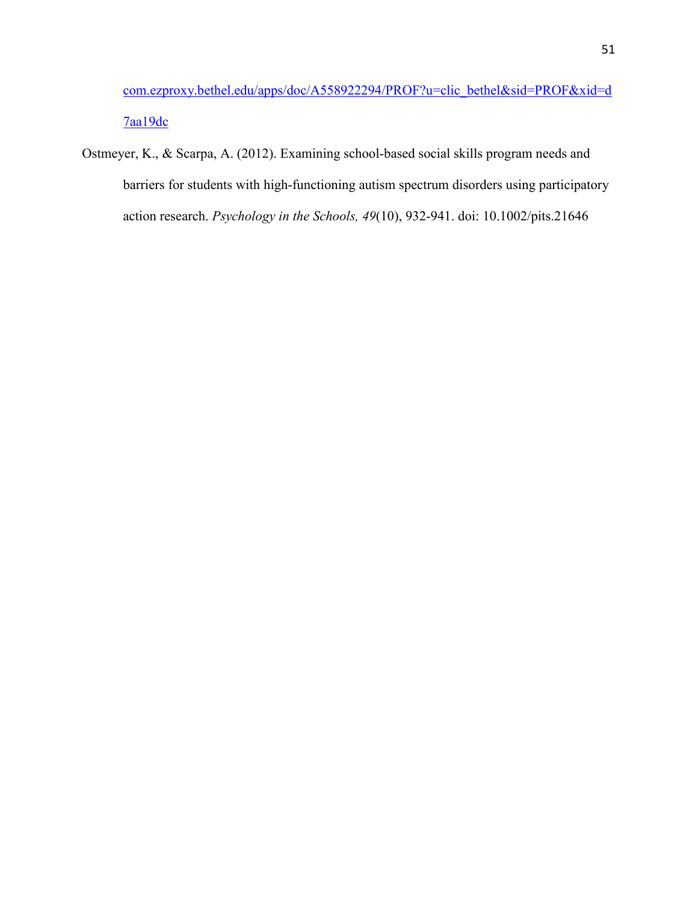[com.ezproxy.bethel.edu/apps/doc/A558922294/PROF?u=clic\\_bethel&sid=PROF&xid=d](https://link-gale-com.ezproxy.bethel.edu/apps/doc/A558922294/PROF?u=clic_bethel&sid=PROF&xid=d7aa19dc) [7aa19dc](https://link-gale-com.ezproxy.bethel.edu/apps/doc/A558922294/PROF?u=clic_bethel&sid=PROF&xid=d7aa19dc)

Ostmeyer, K., & Scarpa, A. (2012). Examining school-based social skills program needs and barriers for students with high-functioning autism spectrum disorders using participatory action research. *Psychology in the Schools, 49*(10), 932-941. doi: 10.1002/pits.21646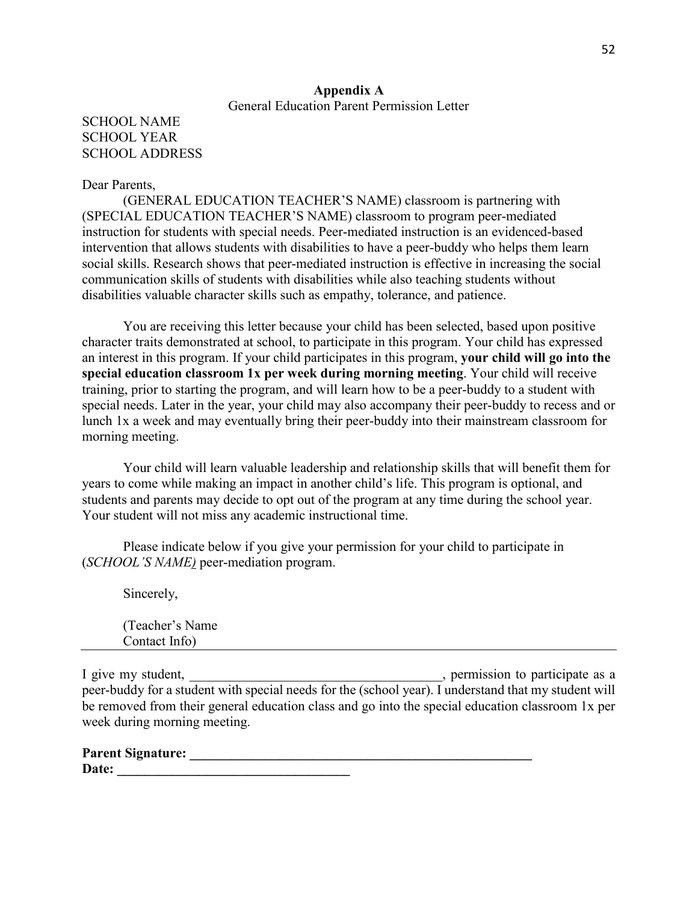### **Appendix A** General Education Parent Permission Letter

## SCHOOL NAME SCHOOL YEAR SCHOOL ADDRESS

#### Dear Parents,

 (GENERAL EDUCATION TEACHER'S NAME) classroom is partnering with (SPECIAL EDUCATION TEACHER'S NAME) classroom to program peer-mediated instruction for students with special needs. Peer-mediated instruction is an evidenced-based intervention that allows students with disabilities to have a peer-buddy who helps them learn social skills. Research shows that peer-mediated instruction is effective in increasing the social communication skills of students with disabilities while also teaching students without disabilities valuable character skills such as empathy, tolerance, and patience.

 You are receiving this letter because your child has been selected, based upon positive character traits demonstrated at school, to participate in this program. Your child has expressed an interest in this program. If your child participates in this program, **your child will go into the special education classroom 1x per week during morning meeting**. Your child will receive training, prior to starting the program, and will learn how to be a peer-buddy to a student with special needs. Later in the year, your child may also accompany their peer-buddy to recess and or lunch 1x a week and may eventually bring their peer-buddy into their mainstream classroom for morning meeting.

Your child will learn valuable leadership and relationship skills that will benefit them for years to come while making an impact in another child's life. This program is optional, and students and parents may decide to opt out of the program at any time during the school year. Your student will not miss any academic instructional time.

Please indicate below if you give your permission for your child to participate in (*SCHOOL'S NAME)* peer-mediation program.

| Sincerely,                        |  |  |
|-----------------------------------|--|--|
| (Teacher's Name)<br>Contact Info) |  |  |

I give my student, \_\_\_\_\_\_\_\_\_\_\_\_\_\_\_\_\_\_\_\_\_\_\_\_\_\_\_\_\_\_\_\_\_\_, permission to participate as a peer-buddy for a student with special needs for the (school year). I understand that my student will be removed from their general education class and go into the special education classroom 1x per week during morning meeting.

| <b>Parent Signature:</b> |  |
|--------------------------|--|
| Date:                    |  |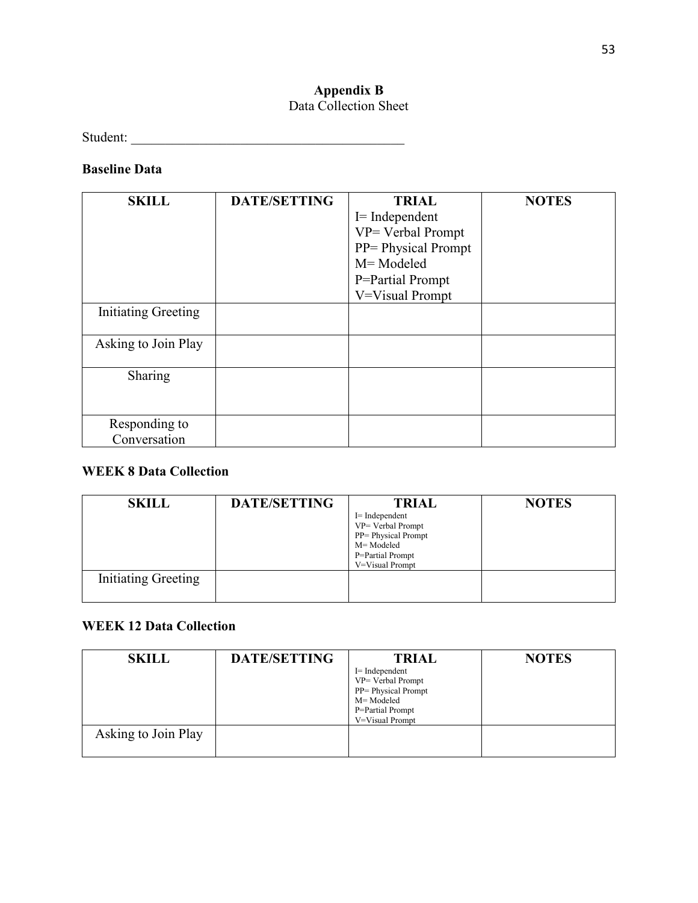# **Appendix B**

## Data Collection Sheet

Student: \_\_\_\_\_\_\_\_\_\_\_\_\_\_\_\_\_\_\_\_\_\_\_\_\_\_\_\_\_\_\_\_\_\_\_\_\_\_\_\_

## **Baseline Data**

| <b>SKILL</b>                  | <b>DATE/SETTING</b> | <b>TRIAL</b><br>$I=$ Independent<br>VP= Verbal Prompt<br>PP= Physical Prompt<br>M= Modeled<br>P=Partial Prompt<br>V=Visual Prompt | <b>NOTES</b> |
|-------------------------------|---------------------|-----------------------------------------------------------------------------------------------------------------------------------|--------------|
| <b>Initiating Greeting</b>    |                     |                                                                                                                                   |              |
| Asking to Join Play           |                     |                                                                                                                                   |              |
| Sharing                       |                     |                                                                                                                                   |              |
| Responding to<br>Conversation |                     |                                                                                                                                   |              |

## **WEEK 8 Data Collection**

| <b>SKILL</b>               | <b>DATE/SETTING</b> | <b>TRIAL</b>                          | <b>NOTES</b> |
|----------------------------|---------------------|---------------------------------------|--------------|
|                            |                     | $I=$ Independent<br>VP= Verbal Prompt |              |
|                            |                     | PP= Physical Prompt<br>M= Modeled     |              |
|                            |                     | P=Partial Prompt<br>V=Visual Prompt   |              |
| <b>Initiating Greeting</b> |                     |                                       |              |

# **WEEK 12 Data Collection**

| <b>SKILL</b>        | <b>DATE/SETTING</b> | <b>TRIAL</b>                                          | <b>NOTES</b> |
|---------------------|---------------------|-------------------------------------------------------|--------------|
|                     |                     | $I=$ Independent<br>VP= Verbal Prompt                 |              |
|                     |                     | PP= Physical Prompt<br>M= Modeled<br>P=Partial Prompt |              |
| Asking to Join Play |                     | V=Visual Prompt                                       |              |